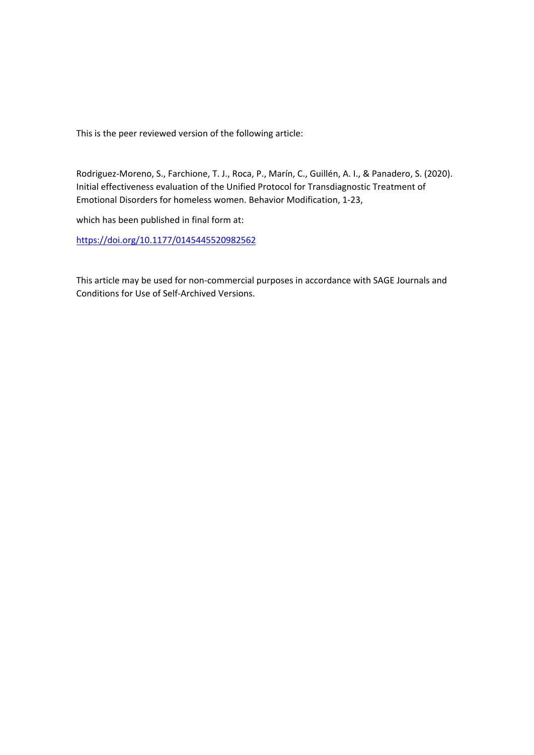This is the peer reviewed version of the following article:

Rodriguez‐Moreno, S., Farchione, T. J., Roca, P., Marín, C., Guillén, A. I., & Panadero, S. (2020). Initial effectiveness evaluation of the Unified Protocol for Transdiagnostic Treatment of Emotional Disorders for homeless women. Behavior Modification, 1‐23,

which has been published in final form at:

https://doi.org/10.1177/0145445520982562

This article may be used for non‐commercial purposes in accordance with SAGE Journals and Conditions for Use of Self‐Archived Versions.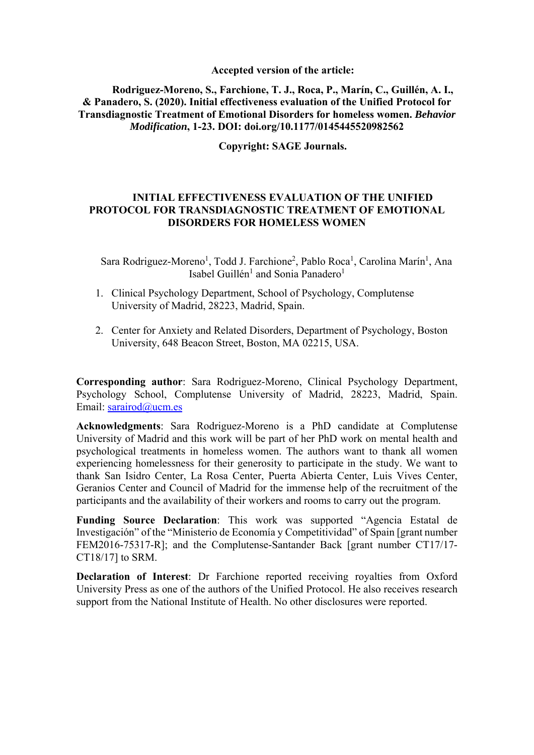# **Accepted version of the article:**

**Rodriguez-Moreno, S., Farchione, T. J., Roca, P., Marín, C., Guillén, A. I., & Panadero, S. (2020). Initial effectiveness evaluation of the Unified Protocol for Transdiagnostic Treatment of Emotional Disorders for homeless women.** *Behavior Modification***, 1-23. DOI: doi.org/10.1177/0145445520982562** 

**Copyright: SAGE Journals.** 

# **INITIAL EFFECTIVENESS EVALUATION OF THE UNIFIED PROTOCOL FOR TRANSDIAGNOSTIC TREATMENT OF EMOTIONAL DISORDERS FOR HOMELESS WOMEN**

Sara Rodriguez-Moreno<sup>1</sup>, Todd J. Farchione<sup>2</sup>, Pablo Roca<sup>1</sup>, Carolina Marín<sup>1</sup>, Ana Isabel Guillén<sup>1</sup> and Sonia Panadero<sup>1</sup>

- 1. Clinical Psychology Department, School of Psychology, Complutense University of Madrid, 28223, Madrid, Spain.
- 2. Center for Anxiety and Related Disorders, Department of Psychology, Boston University, 648 Beacon Street, Boston, MA 02215, USA.

**Corresponding author**: Sara Rodriguez-Moreno, Clinical Psychology Department, Psychology School, Complutense University of Madrid, 28223, Madrid, Spain. Email: sarairod@ucm.es

**Acknowledgments**: Sara Rodriguez-Moreno is a PhD candidate at Complutense University of Madrid and this work will be part of her PhD work on mental health and psychological treatments in homeless women. The authors want to thank all women experiencing homelessness for their generosity to participate in the study. We want to thank San Isidro Center, La Rosa Center, Puerta Abierta Center, Luis Vives Center, Geranios Center and Council of Madrid for the immense help of the recruitment of the participants and the availability of their workers and rooms to carry out the program.

**Funding Source Declaration**: This work was supported "Agencia Estatal de Investigación" of the "Ministerio de Economía y Competitividad" of Spain [grant number FEM2016-75317-R]; and the Complutense-Santander Back [grant number CT17/17- CT18/17] to SRM.

**Declaration of Interest**: Dr Farchione reported receiving royalties from Oxford University Press as one of the authors of the Unified Protocol. He also receives research support from the National Institute of Health. No other disclosures were reported.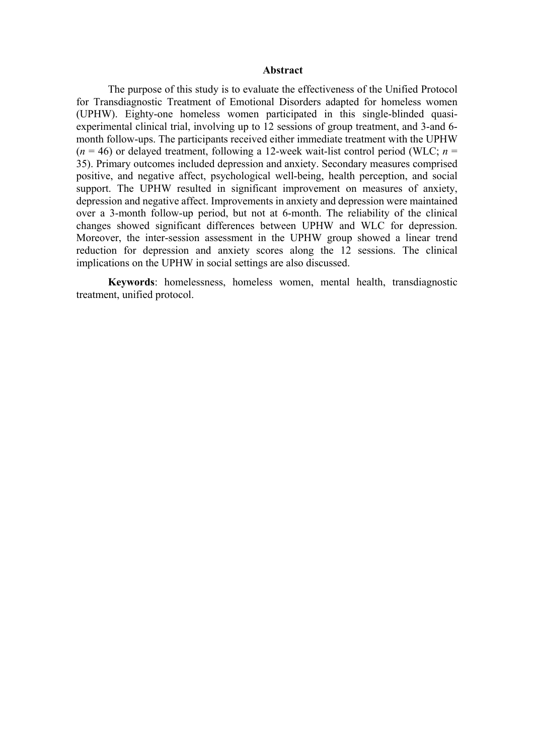#### **Abstract**

The purpose of this study is to evaluate the effectiveness of the Unified Protocol for Transdiagnostic Treatment of Emotional Disorders adapted for homeless women (UPHW). Eighty-one homeless women participated in this single-blinded quasiexperimental clinical trial, involving up to 12 sessions of group treatment, and 3-and 6 month follow-ups. The participants received either immediate treatment with the UPHW  $(n = 46)$  or delayed treatment, following a 12-week wait-list control period (WLC;  $n =$ 35). Primary outcomes included depression and anxiety. Secondary measures comprised positive, and negative affect, psychological well-being, health perception, and social support. The UPHW resulted in significant improvement on measures of anxiety, depression and negative affect. Improvements in anxiety and depression were maintained over a 3-month follow-up period, but not at 6-month. The reliability of the clinical changes showed significant differences between UPHW and WLC for depression. Moreover, the inter-session assessment in the UPHW group showed a linear trend reduction for depression and anxiety scores along the 12 sessions. The clinical implications on the UPHW in social settings are also discussed.

**Keywords**: homelessness, homeless women, mental health, transdiagnostic treatment, unified protocol.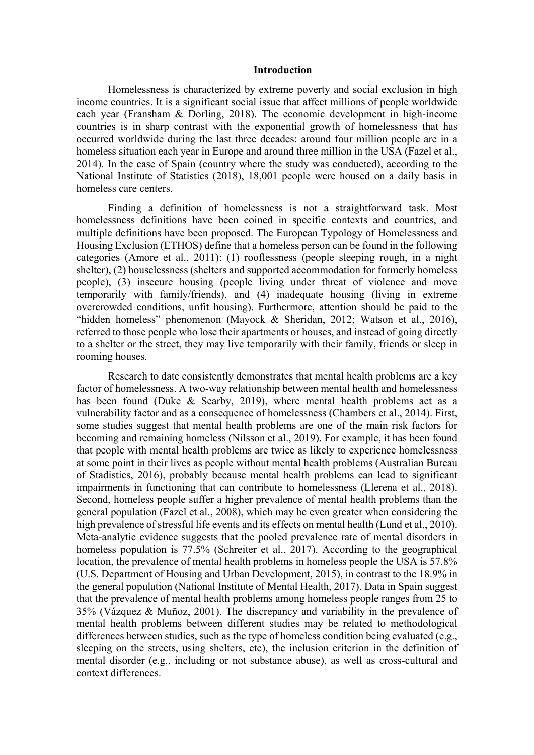#### **Introduction**

Homelessness is characterized by extreme poverty and social exclusion in high income countries. It is a significant social issue that affect millions of people worldwide each year (Fransham & Dorling, 2018). The economic development in high-income countries is in sharp contrast with the exponential growth of homelessness that has occurred worldwide during the last three decades: around four million people are in a homeless situation each year in Europe and around three million in the USA (Fazel et al., 2014). In the case of Spain (country where the study was conducted), according to the National Institute of Statistics (2018), 18,001 people were housed on a daily basis in homeless care centers.

Finding a definition of homelessness is not a straightforward task. Most homelessness definitions have been coined in specific contexts and countries, and multiple definitions have been proposed. The European Typology of Homelessness and Housing Exclusion (ETHOS) define that a homeless person can be found in the following categories (Amore et al., 2011): (1) rooflessness (people sleeping rough, in a night shelter), (2) houselessness (shelters and supported accommodation for formerly homeless people), (3) insecure housing (people living under threat of violence and move temporarily with family/friends), and (4) inadequate housing (living in extreme overcrowded conditions, unfit housing). Furthermore, attention should be paid to the "hidden homeless" phenomenon (Mayock & Sheridan, 2012; Watson et al., 2016), referred to those people who lose their apartments or houses, and instead of going directly to a shelter or the street, they may live temporarily with their family, friends or sleep in rooming houses.

Research to date consistently demonstrates that mental health problems are a key factor of homelessness. A two-way relationship between mental health and homelessness has been found (Duke & Searby, 2019), where mental health problems act as a vulnerability factor and as a consequence of homelessness (Chambers et al., 2014). First, some studies suggest that mental health problems are one of the main risk factors for becoming and remaining homeless (Nilsson et al., 2019). For example, it has been found that people with mental health problems are twice as likely to experience homelessness at some point in their lives as people without mental health problems (Australian Bureau of Stadistics, 2016), probably because mental health problems can lead to significant impairments in functioning that can contribute to homelessness (Llerena et al., 2018). Second, homeless people suffer a higher prevalence of mental health problems than the general population (Fazel et al., 2008), which may be even greater when considering the high prevalence of stressful life events and its effects on mental health (Lund et al., 2010). Meta-analytic evidence suggests that the pooled prevalence rate of mental disorders in homeless population is 77.5% (Schreiter et al., 2017). According to the geographical location, the prevalence of mental health problems in homeless people the USA is 57.8% (U.S. Department of Housing and Urban Development, 2015), in contrast to the 18.9% in the general population (National Institute of Mental Health, 2017). Data in Spain suggest that the prevalence of mental health problems among homeless people ranges from 25 to 35% (Vázquez & Muñoz, 2001). The discrepancy and variability in the prevalence of mental health problems between different studies may be related to methodological differences between studies, such as the type of homeless condition being evaluated (e.g., sleeping on the streets, using shelters, etc), the inclusion criterion in the definition of mental disorder (e.g., including or not substance abuse), as well as cross-cultural and context differences.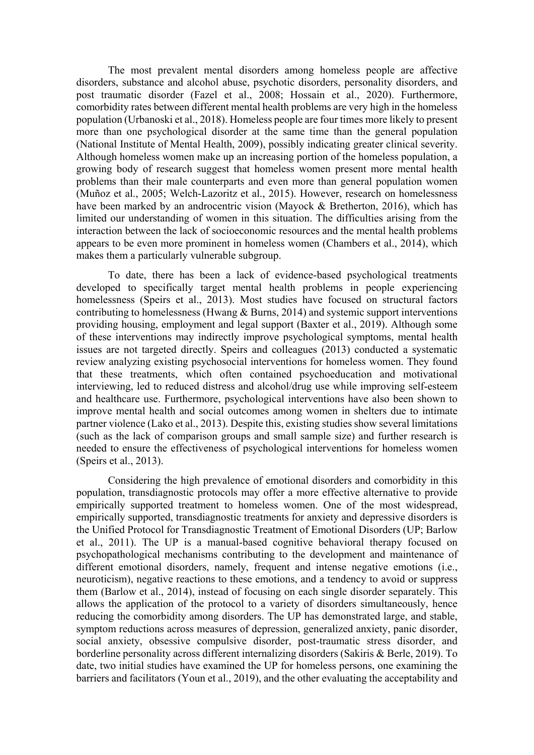The most prevalent mental disorders among homeless people are affective disorders, substance and alcohol abuse, psychotic disorders, personality disorders, and post traumatic disorder (Fazel et al., 2008; Hossain et al., 2020). Furthermore, comorbidity rates between different mental health problems are very high in the homeless population (Urbanoski et al., 2018). Homeless people are four times more likely to present more than one psychological disorder at the same time than the general population (National Institute of Mental Health, 2009), possibly indicating greater clinical severity. Although homeless women make up an increasing portion of the homeless population, a growing body of research suggest that homeless women present more mental health problems than their male counterparts and even more than general population women (Muñoz et al., 2005; Welch-Lazoritz et al., 2015). However, research on homelessness have been marked by an androcentric vision (Mayock & Bretherton, 2016), which has limited our understanding of women in this situation. The difficulties arising from the interaction between the lack of socioeconomic resources and the mental health problems appears to be even more prominent in homeless women (Chambers et al., 2014), which makes them a particularly vulnerable subgroup.

To date, there has been a lack of evidence-based psychological treatments developed to specifically target mental health problems in people experiencing homelessness (Speirs et al., 2013). Most studies have focused on structural factors contributing to homelessness (Hwang  $\&$  Burns, 2014) and systemic support interventions providing housing, employment and legal support (Baxter et al., 2019). Although some of these interventions may indirectly improve psychological symptoms, mental health issues are not targeted directly. Speirs and colleagues (2013) conducted a systematic review analyzing existing psychosocial interventions for homeless women. They found that these treatments, which often contained psychoeducation and motivational interviewing, led to reduced distress and alcohol/drug use while improving self-esteem and healthcare use. Furthermore, psychological interventions have also been shown to improve mental health and social outcomes among women in shelters due to intimate partner violence (Lako et al., 2013). Despite this, existing studies show several limitations (such as the lack of comparison groups and small sample size) and further research is needed to ensure the effectiveness of psychological interventions for homeless women (Speirs et al., 2013).

Considering the high prevalence of emotional disorders and comorbidity in this population, transdiagnostic protocols may offer a more effective alternative to provide empirically supported treatment to homeless women. One of the most widespread, empirically supported, transdiagnostic treatments for anxiety and depressive disorders is the Unified Protocol for Transdiagnostic Treatment of Emotional Disorders (UP; Barlow et al., 2011). The UP is a manual-based cognitive behavioral therapy focused on psychopathological mechanisms contributing to the development and maintenance of different emotional disorders, namely, frequent and intense negative emotions (i.e., neuroticism), negative reactions to these emotions, and a tendency to avoid or suppress them (Barlow et al., 2014), instead of focusing on each single disorder separately. This allows the application of the protocol to a variety of disorders simultaneously, hence reducing the comorbidity among disorders. The UP has demonstrated large, and stable, symptom reductions across measures of depression, generalized anxiety, panic disorder, social anxiety, obsessive compulsive disorder, post-traumatic stress disorder, and borderline personality across different internalizing disorders (Sakiris & Berle, 2019). To date, two initial studies have examined the UP for homeless persons, one examining the barriers and facilitators (Youn et al., 2019), and the other evaluating the acceptability and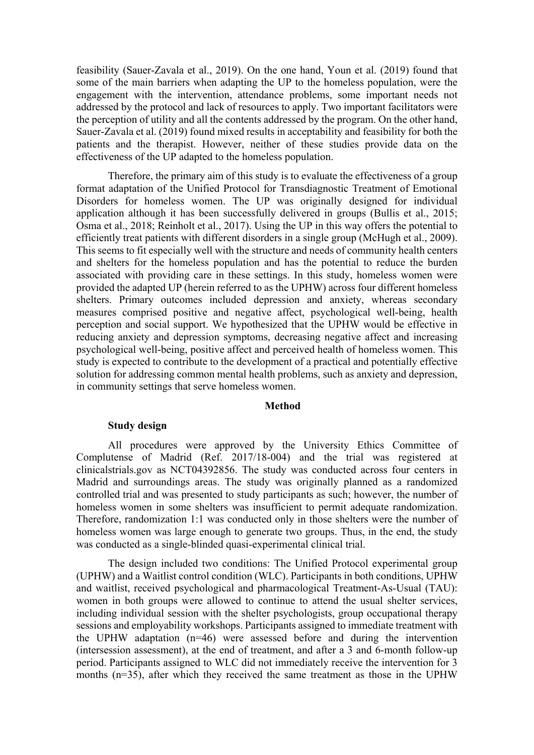feasibility (Sauer-Zavala et al., 2019). On the one hand, Youn et al. (2019) found that some of the main barriers when adapting the UP to the homeless population, were the engagement with the intervention, attendance problems, some important needs not addressed by the protocol and lack of resources to apply. Two important facilitators were the perception of utility and all the contents addressed by the program. On the other hand, Sauer-Zavala et al. (2019) found mixed results in acceptability and feasibility for both the patients and the therapist. However, neither of these studies provide data on the effectiveness of the UP adapted to the homeless population.

Therefore, the primary aim of this study is to evaluate the effectiveness of a group format adaptation of the Unified Protocol for Transdiagnostic Treatment of Emotional Disorders for homeless women. The UP was originally designed for individual application although it has been successfully delivered in groups (Bullis et al., 2015; Osma et al., 2018; Reinholt et al., 2017). Using the UP in this way offers the potential to efficiently treat patients with different disorders in a single group (McHugh et al., 2009). This seems to fit especially well with the structure and needs of community health centers and shelters for the homeless population and has the potential to reduce the burden associated with providing care in these settings. In this study, homeless women were provided the adapted UP (herein referred to as the UPHW) across four different homeless shelters. Primary outcomes included depression and anxiety, whereas secondary measures comprised positive and negative affect, psychological well-being, health perception and social support. We hypothesized that the UPHW would be effective in reducing anxiety and depression symptoms, decreasing negative affect and increasing psychological well-being, positive affect and perceived health of homeless women. This study is expected to contribute to the development of a practical and potentially effective solution for addressing common mental health problems, such as anxiety and depression, in community settings that serve homeless women.

## **Method**

## **Study design**

All procedures were approved by the University Ethics Committee of Complutense of Madrid (Ref. 2017/18-004) and the trial was registered at clinicalstrials.gov as NCT04392856. The study was conducted across four centers in Madrid and surroundings areas. The study was originally planned as a randomized controlled trial and was presented to study participants as such; however, the number of homeless women in some shelters was insufficient to permit adequate randomization. Therefore, randomization 1:1 was conducted only in those shelters were the number of homeless women was large enough to generate two groups. Thus, in the end, the study was conducted as a single-blinded quasi-experimental clinical trial.

The design included two conditions: The Unified Protocol experimental group (UPHW) and a Waitlist control condition (WLC). Participants in both conditions, UPHW and waitlist, received psychological and pharmacological Treatment-As-Usual (TAU): women in both groups were allowed to continue to attend the usual shelter services, including individual session with the shelter psychologists, group occupational therapy sessions and employability workshops. Participants assigned to immediate treatment with the UPHW adaptation  $(n=46)$  were assessed before and during the intervention (intersession assessment), at the end of treatment, and after a 3 and 6-month follow-up period. Participants assigned to WLC did not immediately receive the intervention for 3 months (n=35), after which they received the same treatment as those in the UPHW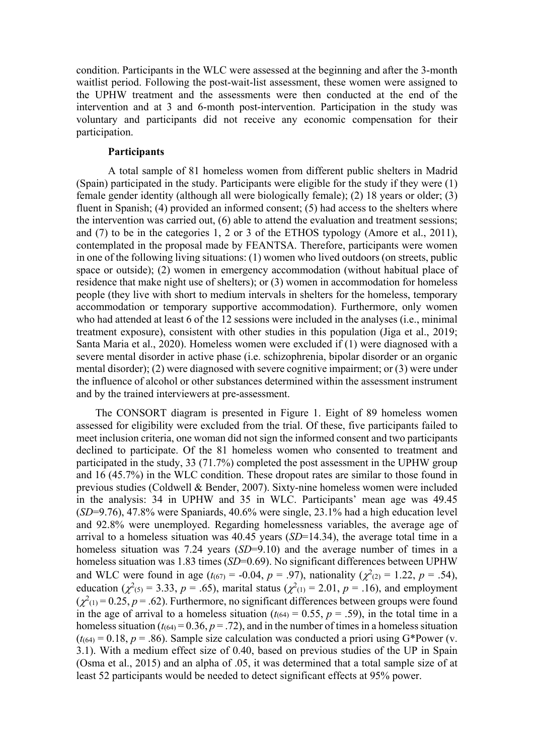condition. Participants in the WLC were assessed at the beginning and after the 3-month waitlist period. Following the post-wait-list assessment, these women were assigned to the UPHW treatment and the assessments were then conducted at the end of the intervention and at 3 and 6-month post-intervention. Participation in the study was voluntary and participants did not receive any economic compensation for their participation.

# **Participants**

A total sample of 81 homeless women from different public shelters in Madrid (Spain) participated in the study. Participants were eligible for the study if they were (1) female gender identity (although all were biologically female); (2) 18 years or older; (3) fluent in Spanish; (4) provided an informed consent; (5) had access to the shelters where the intervention was carried out, (6) able to attend the evaluation and treatment sessions; and (7) to be in the categories 1, 2 or 3 of the ETHOS typology (Amore et al., 2011), contemplated in the proposal made by FEANTSA. Therefore, participants were women in one of the following living situations: (1) women who lived outdoors (on streets, public space or outside); (2) women in emergency accommodation (without habitual place of residence that make night use of shelters); or (3) women in accommodation for homeless people (they live with short to medium intervals in shelters for the homeless, temporary accommodation or temporary supportive accommodation). Furthermore, only women who had attended at least 6 of the 12 sessions were included in the analyses (i.e., minimal treatment exposure), consistent with other studies in this population (Jiga et al., 2019; Santa Maria et al., 2020). Homeless women were excluded if (1) were diagnosed with a severe mental disorder in active phase (i.e. schizophrenia, bipolar disorder or an organic mental disorder); (2) were diagnosed with severe cognitive impairment; or (3) were under the influence of alcohol or other substances determined within the assessment instrument and by the trained interviewers at pre-assessment.

The CONSORT diagram is presented in Figure 1. Eight of 89 homeless women assessed for eligibility were excluded from the trial. Of these, five participants failed to meet inclusion criteria, one woman did not sign the informed consent and two participants declined to participate. Of the 81 homeless women who consented to treatment and participated in the study, 33 (71.7%) completed the post assessment in the UPHW group and 16 (45.7%) in the WLC condition. These dropout rates are similar to those found in previous studies (Coldwell & Bender, 2007). Sixty-nine homeless women were included in the analysis: 34 in UPHW and 35 in WLC. Participants' mean age was 49.45 (*SD*=9.76), 47.8% were Spaniards, 40.6% were single, 23.1% had a high education level and 92.8% were unemployed. Regarding homelessness variables, the average age of arrival to a homeless situation was 40.45 years (*SD*=14.34), the average total time in a homeless situation was 7.24 years (*SD*=9.10) and the average number of times in a homeless situation was 1.83 times (*SD*=0.69). No significant differences between UPHW and WLC were found in age  $(t_{(67)} = -0.04, p = .97)$ , nationality  $(\chi^2_{(2)} = 1.22, p = .54)$ , education ( $\chi^2$ <sub>(5)</sub> = 3.33, *p* = .65), marital status ( $\chi^2$ <sub>(1)</sub> = 2.01, *p* = .16), and employment  $(\chi^2(1) = 0.25, p = .62)$ . Furthermore, no significant differences between groups were found in the age of arrival to a homeless situation  $(t_{(64)} = 0.55, p = .59)$ , in the total time in a homeless situation  $(t_{(64)} = 0.36, p = .72)$ , and in the number of times in a homeless situation  $(t_{(64)} = 0.18, p = .86)$ . Sample size calculation was conducted a priori using G\*Power (v. 3.1). With a medium effect size of 0.40, based on previous studies of the UP in Spain (Osma et al., 2015) and an alpha of .05, it was determined that a total sample size of at least 52 participants would be needed to detect significant effects at 95% power.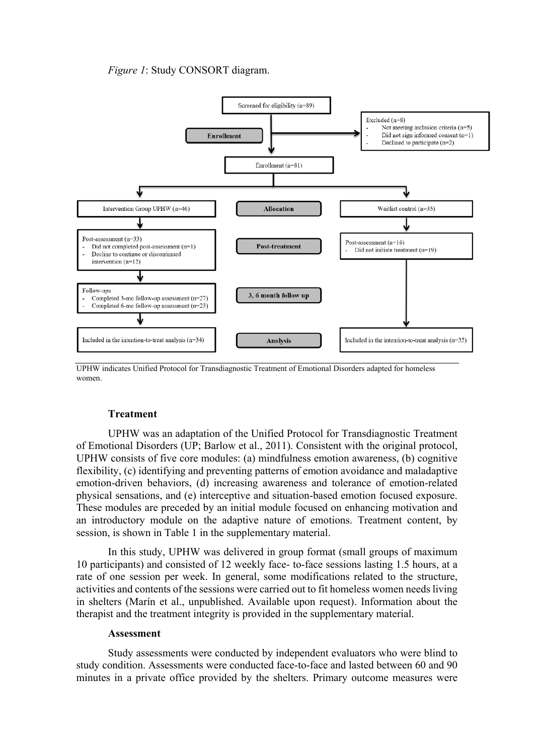# *Figure 1*: Study CONSORT diagram.



UPHW indicates Unified Protocol for Transdiagnostic Treatment of Emotional Disorders adapted for homeless women.

# **Treatment**

UPHW was an adaptation of the Unified Protocol for Transdiagnostic Treatment of Emotional Disorders (UP; Barlow et al., 2011). Consistent with the original protocol, UPHW consists of five core modules: (a) mindfulness emotion awareness, (b) cognitive flexibility, (c) identifying and preventing patterns of emotion avoidance and maladaptive emotion-driven behaviors, (d) increasing awareness and tolerance of emotion-related physical sensations, and (e) interceptive and situation-based emotion focused exposure. These modules are preceded by an initial module focused on enhancing motivation and an introductory module on the adaptive nature of emotions. Treatment content, by session, is shown in Table 1 in the supplementary material.

In this study, UPHW was delivered in group format (small groups of maximum 10 participants) and consisted of 12 weekly face- to-face sessions lasting 1.5 hours, at a rate of one session per week. In general, some modifications related to the structure, activities and contents of the sessions were carried out to fit homeless women needs living in shelters (Marín et al., unpublished. Available upon request). Information about the therapist and the treatment integrity is provided in the supplementary material.

#### **Assessment**

Study assessments were conducted by independent evaluators who were blind to study condition. Assessments were conducted face-to-face and lasted between 60 and 90 minutes in a private office provided by the shelters. Primary outcome measures were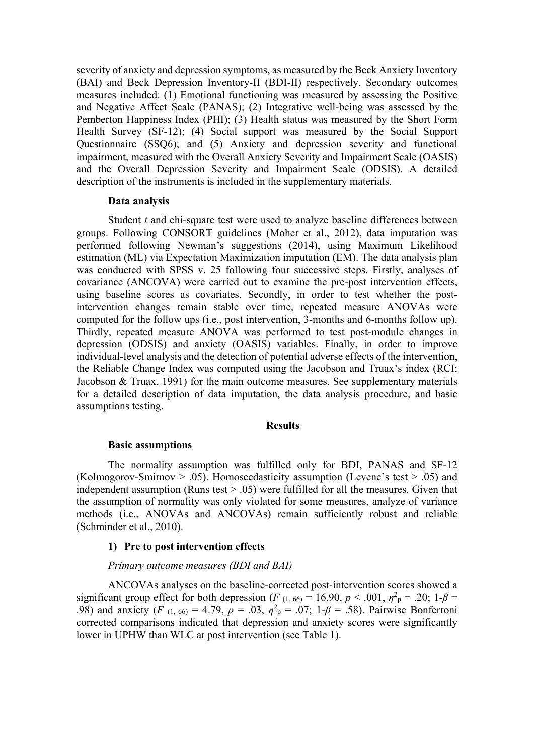severity of anxiety and depression symptoms, as measured by the Beck Anxiety Inventory (BAI) and Beck Depression Inventory-II (BDI-II) respectively. Secondary outcomes measures included: (1) Emotional functioning was measured by assessing the Positive and Negative Affect Scale (PANAS); (2) Integrative well-being was assessed by the Pemberton Happiness Index (PHI); (3) Health status was measured by the Short Form Health Survey (SF-12); (4) Social support was measured by the Social Support Questionnaire (SSQ6); and (5) Anxiety and depression severity and functional impairment, measured with the Overall Anxiety Severity and Impairment Scale (OASIS) and the Overall Depression Severity and Impairment Scale (ODSIS). A detailed description of the instruments is included in the supplementary materials.

#### **Data analysis**

Student *t* and chi-square test were used to analyze baseline differences between groups. Following CONSORT guidelines (Moher et al., 2012), data imputation was performed following Newman's suggestions (2014), using Maximum Likelihood estimation (ML) via Expectation Maximization imputation (EM). The data analysis plan was conducted with SPSS v. 25 following four successive steps. Firstly, analyses of covariance (ANCOVA) were carried out to examine the pre-post intervention effects, using baseline scores as covariates. Secondly, in order to test whether the postintervention changes remain stable over time, repeated measure ANOVAs were computed for the follow ups (i.e., post intervention, 3-months and 6-months follow up). Thirdly, repeated measure ANOVA was performed to test post-module changes in depression (ODSIS) and anxiety (OASIS) variables. Finally, in order to improve individual-level analysis and the detection of potential adverse effects of the intervention, the Reliable Change Index was computed using the Jacobson and Truax's index (RCI; Jacobson  $& Truax$ , 1991) for the main outcome measures. See supplementary materials for a detailed description of data imputation, the data analysis procedure, and basic assumptions testing.

#### **Results**

#### **Basic assumptions**

The normality assumption was fulfilled only for BDI, PANAS and SF-12 (Kolmogorov-Smirnov  $> .05$ ). Homoscedasticity assumption (Levene's test  $> .05$ ) and independent assumption (Runs test  $> .05$ ) were fulfilled for all the measures. Given that the assumption of normality was only violated for some measures, analyze of variance methods (i.e., ANOVAs and ANCOVAs) remain sufficiently robust and reliable (Schminder et al., 2010).

# **1) Pre to post intervention effects**

#### *Primary outcome measures (BDI and BAI)*

ANCOVAs analyses on the baseline-corrected post-intervention scores showed a significant group effect for both depression (*F*  $(1, 66) = 16.90, p < .001, \eta^2 = .20; 1-\beta = 0$ .98) and anxiety (*F* (1, 66) = 4.79, *p* = .03,  $\eta^2$ <sub>*p*</sub> = .07; 1- $\beta$  = .58). Pairwise Bonferroni corrected comparisons indicated that depression and anxiety scores were significantly lower in UPHW than WLC at post intervention (see Table 1).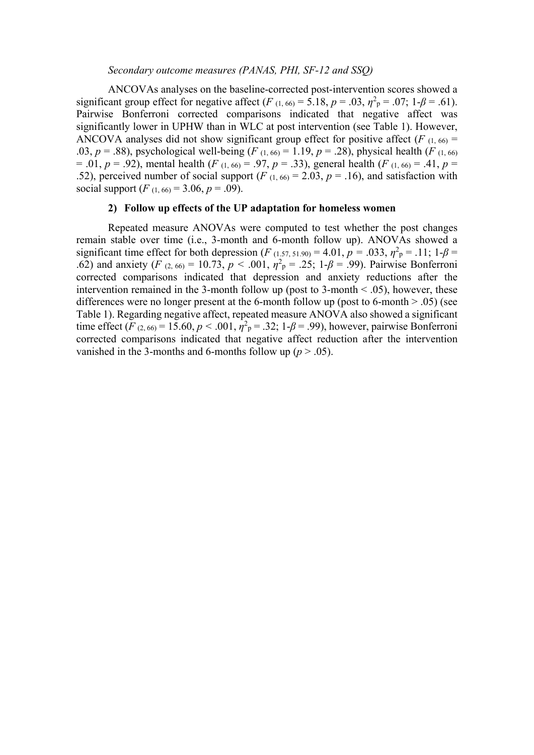## *Secondary outcome measures (PANAS, PHI, SF-12 and SSQ)*

ANCOVAs analyses on the baseline-corrected post-intervention scores showed a significant group effect for negative affect (*F*  $(1, 66) = 5.18$ ,  $p = .03$ ,  $\eta^2$ <sub>p</sub> = .07; 1- $\beta$  = .61). Pairwise Bonferroni corrected comparisons indicated that negative affect was significantly lower in UPHW than in WLC at post intervention (see Table 1). However, ANCOVA analyses did not show significant group effect for positive affect  $(F_{(1, 66)} =$ .03,  $p = .88$ ), psychological well-being (*F*  $(1, 66) = 1.19$ ,  $p = .28$ ), physical health (*F*  $(1, 66)$ )  $= .01, p = .92$ ), mental health (*F*  $(1, 66) = .97, p = .33$ ), general health (*F*  $(1, 66) = .41, p = .92$ ) .52), perceived number of social support ( $F_{(1, 60)} = 2.03$ ,  $p = .16$ ), and satisfaction with social support  $(F_{(1, 66)} = 3.06, p = .09)$ .

# **2) Follow up effects of the UP adaptation for homeless women**

Repeated measure ANOVAs were computed to test whether the post changes remain stable over time (i.e., 3-month and 6-month follow up). ANOVAs showed a significant time effect for both depression (*F* (1.57, 51.90) = 4.01, *p* = .033,  $\eta^2$ <sub>P</sub> = .11; 1- $\beta$  = .62) and anxiety (*F*  $(2, 66) = 10.73$ ,  $p < .001$ ,  $\eta^2$ <sub>P</sub> = .25; 1- $\beta$  = .99). Pairwise Bonferroni corrected comparisons indicated that depression and anxiety reductions after the intervention remained in the 3-month follow up (post to 3-month  $\leq$  .05), however, these differences were no longer present at the 6-month follow up (post to 6-month  $> .05$ ) (see Table 1). Regarding negative affect, repeated measure ANOVA also showed a significant time effect (*F* (2, 66) = 15.60, *p* < .001,  $\eta^2$ <sub>P</sub> = .32; 1-*β* = .99), however, pairwise Bonferroni corrected comparisons indicated that negative affect reduction after the intervention vanished in the 3-months and 6-months follow up ( $p > .05$ ).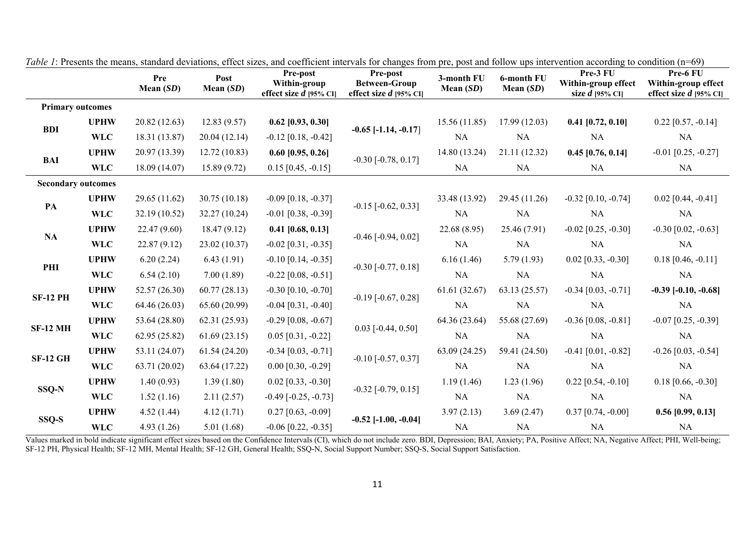|                           |             | Pre<br>Mean $(SD)$ | Post<br>Mean $(SD)$ | <b>Pre-post</b><br>Within-group<br>effect size $d$ [95% CI] | <b>Pre-post</b><br><b>Between-Group</b><br>effect size $d$ [95% CI] | 3-month FU<br>Mean $(SD)$ | 6-month FU<br>Mean $(SD)$ | $\frac{1}{2}$ . The contract $\frac{1}{2}$ of $\frac{1}{2}$ of $\frac{1}{2}$ of $\frac{1}{2}$ of $\frac{1}{2}$ of $\frac{1}{2}$ of $\frac{1}{2}$ of $\frac{1}{2}$ of $\frac{1}{2}$ of $\frac{1}{2}$ of $\frac{1}{2}$ of $\frac{1}{2}$<br>Pre-3 FU<br>Within-group effect<br>size $d$ [95% CI] | Pre-6 FU<br>Within-group effect<br>effect size $d$ [95% CI] |
|---------------------------|-------------|--------------------|---------------------|-------------------------------------------------------------|---------------------------------------------------------------------|---------------------------|---------------------------|-----------------------------------------------------------------------------------------------------------------------------------------------------------------------------------------------------------------------------------------------------------------------------------------------|-------------------------------------------------------------|
| <b>Primary outcomes</b>   |             |                    |                     |                                                             |                                                                     |                           |                           |                                                                                                                                                                                                                                                                                               |                                                             |
| <b>BDI</b>                | <b>UPHW</b> | 20.82 (12.63)      | 12.83(9.57)         | $0.62$ [0.93, 0.30]                                         | $-0.65$ [ $-1.14$ , $-0.17$ ]                                       | 15.56(11.85)              | 17.99(12.03)              | $0.41$ [0.72, 0.10]                                                                                                                                                                                                                                                                           | $0.22$ [0.57, -0.14]                                        |
|                           | <b>WLC</b>  | 18.31 (13.87)      | 20.04 (12.14)       | $-0.12$ [0.18, $-0.42$ ]                                    |                                                                     | <b>NA</b>                 | NA                        | NA                                                                                                                                                                                                                                                                                            | NA                                                          |
| BAI                       | <b>UPHW</b> | 20.97 (13.39)      | 12.72(10.83)        | $0.60$ [0.95, 0.26]                                         | $-0.30$ [ $-0.78$ , $0.17$ ]                                        | 14.80 (13.24)             | 21.11(12.32)              | $0.45$ [0.76, 0.14]                                                                                                                                                                                                                                                                           | $-0.01$ [0.25, $-0.27$ ]                                    |
|                           | <b>WLC</b>  | 18.09 (14.07)      | 15.89(9.72)         | $0.15$ [0.45, -0.15]                                        |                                                                     | NA                        | NA                        | NA                                                                                                                                                                                                                                                                                            | NA                                                          |
| <b>Secondary outcomes</b> |             |                    |                     |                                                             |                                                                     |                           |                           |                                                                                                                                                                                                                                                                                               |                                                             |
| PA                        | <b>UPHW</b> | 29.65 (11.62)      | 30.75(10.18)        | $-0.09$ [0.18, $-0.37$ ]                                    | $-0.15$ [ $-0.62$ , 0.33]                                           | 33.48 (13.92)             | 29.45 (11.26)             | $-0.32$ [0.10, $-0.74$ ]                                                                                                                                                                                                                                                                      | $0.02$ [0.44, -0.41]                                        |
|                           | <b>WLC</b>  | 32.19 (10.52)      | 32.27 (10.24)       | $-0.01$ [0.38, $-0.39$ ]                                    |                                                                     | NA                        | NA                        | NA                                                                                                                                                                                                                                                                                            | NA                                                          |
| NA                        | <b>UPHW</b> | 22.47 (9.60)       | 18.47(9.12)         | $0.41$ [0.68, 0.13]                                         | $-0.46$ [ $-0.94$ , $0.02$ ]                                        | 22.68 (8.95)              | 25.46 (7.91)              | $-0.02$ [0.25, $-0.30$ ]                                                                                                                                                                                                                                                                      | $-0.30$ [0.02, $-0.63$ ]                                    |
|                           | <b>WLC</b>  | 22.87(9.12)        | 23.02 (10.37)       | $-0.02$ [0.31, $-0.35$ ]                                    |                                                                     | NA                        | NA                        | NA                                                                                                                                                                                                                                                                                            | NA                                                          |
| PHI                       | <b>UPHW</b> | 6.20(2.24)         | 6.43(1.91)          | $-0.10$ [0.14, $-0.35$ ]                                    | $-0.30$ [ $-0.77, 0.18$ ]                                           | 6.16(1.46)                | 5.79(1.93)                | $0.02$ [0.33, -0.30]                                                                                                                                                                                                                                                                          | $0.18$ [0.46, -0.11]                                        |
|                           | <b>WLC</b>  | 6.54(2.10)         | 7.00(1.89)          | $-0.22$ [0.08, $-0.51$ ]                                    |                                                                     | NA                        | NA                        | NA                                                                                                                                                                                                                                                                                            | NA                                                          |
| <b>SF-12 PH</b>           | <b>UPHW</b> | 52.57 (26.30)      | 60.77(28.13)        | $-0.30$ [0.10, $-0.70$ ]                                    | $-0.19$ [ $-0.67, 0.28$ ]                                           | 61.61(32.67)              | 63.13(25.57)              | $-0.34$ [0.03, $-0.71$ ]                                                                                                                                                                                                                                                                      | $-0.39$ $[-0.10, -0.68]$                                    |
|                           | <b>WLC</b>  | 64.46 (26.03)      | 65.60 (20.99)       | $-0.04$ [0.31, $-0.40$ ]                                    |                                                                     | NA                        | NA                        | NA                                                                                                                                                                                                                                                                                            | NA                                                          |
| <b>SF-12 MH</b>           | <b>UPHW</b> | 53.64 (28.80)      | 62.31 (25.93)       | $-0.29$ [0.08, $-0.67$ ]                                    | $0.03$ [-0.44, 0.50]                                                | 64.36 (23.64)             | 55.68 (27.69)             | $-0.36$ [0.08, $-0.81$ ]                                                                                                                                                                                                                                                                      | $-0.07$ [0.25, $-0.39$ ]                                    |
|                           | <b>WLC</b>  | 62.95 (25.82)      | 61.69(23.15)        | $0.05$ [0.31, -0.22]                                        |                                                                     | NA                        | NA                        | NA                                                                                                                                                                                                                                                                                            | NA                                                          |
| <b>SF-12 GH</b>           | <b>UPHW</b> | 53.11 (24.07)      | 61.54(24.20)        | $-0.34$ [0.03, $-0.71$ ]                                    | $-0.10$ $[-0.57, 0.37]$                                             | 63.09 (24.25)             | 59.41 (24.50)             | $-0.41$ [0.01, $-0.82$ ]                                                                                                                                                                                                                                                                      | $-0.26$ [0.03, $-0.54$ ]                                    |
|                           | <b>WLC</b>  | 63.71 (20.02)      | 63.64 (17.22)       | $0.00$ [0.30, -0.29]                                        |                                                                     | <b>NA</b>                 | NA                        | NA                                                                                                                                                                                                                                                                                            | NA                                                          |
| SSQ-N                     | <b>UPHW</b> | 1.40(0.93)         | 1.39(1.80)          | $0.02$ [0.33, -0.30]                                        | $-0.32$ [ $-0.79, 0.15$ ]                                           | 1.19(1.46)                | 1.23(1.96)                | $0.22$ [0.54, -0.10]                                                                                                                                                                                                                                                                          | $0.18$ [0.66, -0.30]                                        |
|                           | <b>WLC</b>  | 1.52(1.16)         | 2.11(2.57)          | $-0.49$ $[-0.25, -0.73]$                                    |                                                                     | <b>NA</b>                 | NA                        | NA                                                                                                                                                                                                                                                                                            | NA                                                          |
| SSQ-S                     | <b>UPHW</b> | 4.52(1.44)         | 4.12(1.71)          | $0.27$ [0.63, -0.09]                                        | $-0.52$ [ $-1.00, -0.04$ ]                                          | 3.97(2.13)                | 3.69(2.47)                | $0.37$ [0.74, -0.00]                                                                                                                                                                                                                                                                          | $0.56$ [0.99, 0.13]                                         |
|                           | <b>WLC</b>  | 4.93(1.26)         | 5.01(1.68)          | $-0.06$ [0.22, $-0.35$ ]                                    |                                                                     | NA                        | NA                        | NA                                                                                                                                                                                                                                                                                            | NA                                                          |

*Table 1*: Presents the means, standard deviations, effect sizes, and coefficient intervals for changes from pre, post and follow ups intervention according to condition (n=69)

Values marked in bold indicate significant effect sizes based on the Confidence Intervals (CI), which do not include zero. BDI, Depression; BAI, Anxiety; PA, Positive Affect; NA, Negative Affect; PHI, Well-being; SF-12 PH, Physical Health; SF-12 MH, Mental Health; SF-12 GH, General Health; SSQ-N, Social Support Number; SSQ-S, Social Support Satisfaction.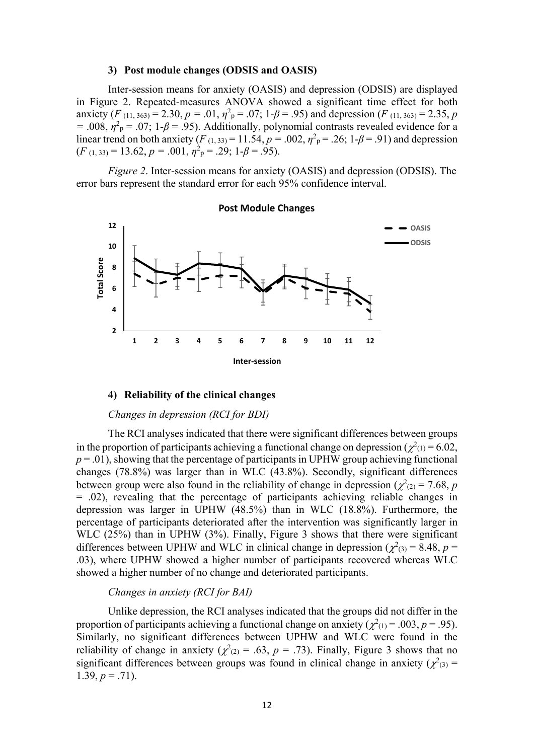#### **3) Post module changes (ODSIS and OASIS)**

Inter-session means for anxiety (OASIS) and depression (ODSIS) are displayed in Figure 2. Repeated-measures ANOVA showed a significant time effect for both anxiety (*F* (11, 363) = 2.30, *p* = .01,  $\eta^2$ <sub>*p*</sub> = .07; 1-*β* = .95) and depression (*F* (11, 363) = 2.35, *p*  $=$  .008,  $\eta^2$ <sub>P</sub> = .07; 1- $\beta$  = .95). Additionally, polynomial contrasts revealed evidence for a linear trend on both anxiety (*F*<sub>(1, 33)</sub> = 11.54,  $p = .002$ ,  $\eta^2$ <sub>P</sub> = .26; 1- $\beta$  = .91) and depression  $(F (1, 33) = 13.62, p = .001, \eta^2$ <sub>p</sub> = .29; 1- $\beta$  = .95).

*Figure 2*. Inter-session means for anxiety (OASIS) and depression (ODSIS). The error bars represent the standard error for each 95% confidence interval.



#### **Post Module Changes**

#### **4) Reliability of the clinical changes**

# *Changes in depression (RCI for BDI)*

The RCI analyses indicated that there were significant differences between groups in the proportion of participants achieving a functional change on depression ( $\chi^2$ <sub>(1)</sub> = 6.02,  $p = 0.01$ , showing that the percentage of participants in UPHW group achieving functional changes (78.8%) was larger than in WLC (43.8%). Secondly, significant differences between group were also found in the reliability of change in depression ( $\chi^2$ <sub>(2)</sub> = 7.68, *p* = .02), revealing that the percentage of participants achieving reliable changes in depression was larger in UPHW (48.5%) than in WLC (18.8%). Furthermore, the percentage of participants deteriorated after the intervention was significantly larger in WLC (25%) than in UPHW (3%). Finally, Figure 3 shows that there were significant differences between UPHW and WLC in clinical change in depression ( $\chi^2$ <sub>(3)</sub> = 8.48, *p* = .03), where UPHW showed a higher number of participants recovered whereas WLC showed a higher number of no change and deteriorated participants.

### *Changes in anxiety (RCI for BAI)*

Unlike depression, the RCI analyses indicated that the groups did not differ in the proportion of participants achieving a functional change on anxiety ( $\chi^2(1) = .003$ ,  $p = .95$ ). Similarly, no significant differences between UPHW and WLC were found in the reliability of change in anxiety ( $\chi^2(z) = .63$ ,  $p = .73$ ). Finally, Figure 3 shows that no significant differences between groups was found in clinical change in anxiety ( $\chi^2$ <sub>(3)</sub> = 1.39,  $p = .71$ ).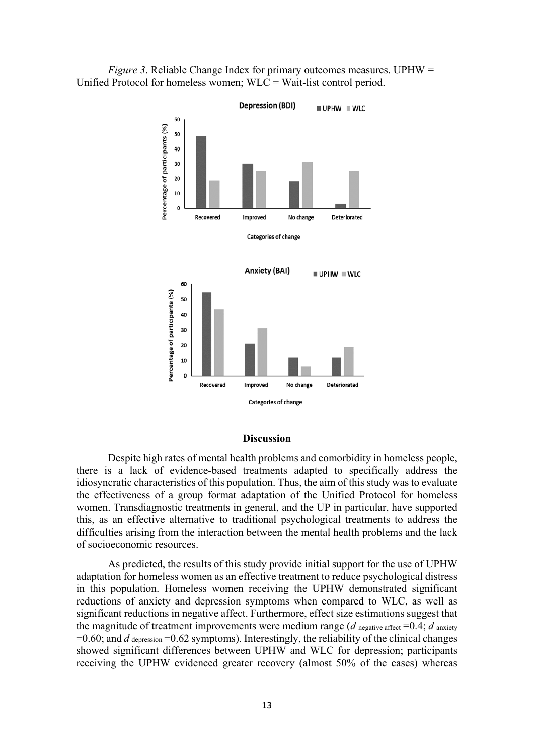



#### **Discussion**

Despite high rates of mental health problems and comorbidity in homeless people, there is a lack of evidence-based treatments adapted to specifically address the idiosyncratic characteristics of this population. Thus, the aim of this study was to evaluate the effectiveness of a group format adaptation of the Unified Protocol for homeless women. Transdiagnostic treatments in general, and the UP in particular, have supported this, as an effective alternative to traditional psychological treatments to address the difficulties arising from the interaction between the mental health problems and the lack of socioeconomic resources.

As predicted, the results of this study provide initial support for the use of UPHW adaptation for homeless women as an effective treatment to reduce psychological distress in this population. Homeless women receiving the UPHW demonstrated significant reductions of anxiety and depression symptoms when compared to WLC, as well as significant reductions in negative affect. Furthermore, effect size estimations suggest that the magnitude of treatment improvements were medium range ( $d$  negative affect =0.4;  $d$  anxiety  $=0.60$ ; and *d* depression  $=0.62$  symptoms). Interestingly, the reliability of the clinical changes showed significant differences between UPHW and WLC for depression; participants receiving the UPHW evidenced greater recovery (almost 50% of the cases) whereas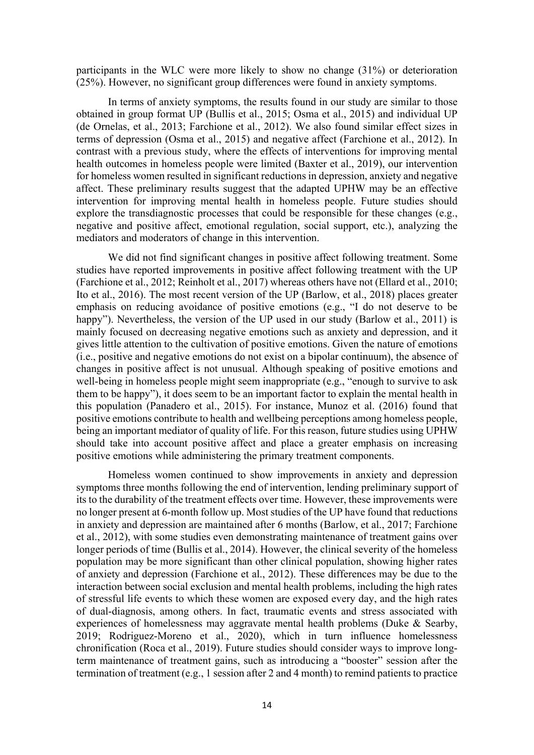participants in the WLC were more likely to show no change (31%) or deterioration (25%). However, no significant group differences were found in anxiety symptoms.

In terms of anxiety symptoms, the results found in our study are similar to those obtained in group format UP (Bullis et al., 2015; Osma et al., 2015) and individual UP (de Ornelas, et al., 2013; Farchione et al., 2012). We also found similar effect sizes in terms of depression (Osma et al., 2015) and negative affect (Farchione et al., 2012). In contrast with a previous study, where the effects of interventions for improving mental health outcomes in homeless people were limited (Baxter et al., 2019), our intervention for homeless women resulted in significant reductions in depression, anxiety and negative affect. These preliminary results suggest that the adapted UPHW may be an effective intervention for improving mental health in homeless people. Future studies should explore the transdiagnostic processes that could be responsible for these changes (e.g., negative and positive affect, emotional regulation, social support, etc.), analyzing the mediators and moderators of change in this intervention.

We did not find significant changes in positive affect following treatment. Some studies have reported improvements in positive affect following treatment with the UP (Farchione et al., 2012; Reinholt et al., 2017) whereas others have not (Ellard et al., 2010; Ito et al., 2016). The most recent version of the UP (Barlow, et al., 2018) places greater emphasis on reducing avoidance of positive emotions (e.g., "I do not deserve to be happy"). Nevertheless, the version of the UP used in our study (Barlow et al., 2011) is mainly focused on decreasing negative emotions such as anxiety and depression, and it gives little attention to the cultivation of positive emotions. Given the nature of emotions (i.e., positive and negative emotions do not exist on a bipolar continuum), the absence of changes in positive affect is not unusual. Although speaking of positive emotions and well-being in homeless people might seem inappropriate (e.g., "enough to survive to ask them to be happy"), it does seem to be an important factor to explain the mental health in this population (Panadero et al., 2015). For instance, Munoz et al. (2016) found that positive emotions contribute to health and wellbeing perceptions among homeless people, being an important mediator of quality of life. For this reason, future studies using UPHW should take into account positive affect and place a greater emphasis on increasing positive emotions while administering the primary treatment components.

Homeless women continued to show improvements in anxiety and depression symptoms three months following the end of intervention, lending preliminary support of its to the durability of the treatment effects over time. However, these improvements were no longer present at 6-month follow up. Most studies of the UP have found that reductions in anxiety and depression are maintained after 6 months (Barlow, et al., 2017; Farchione et al., 2012), with some studies even demonstrating maintenance of treatment gains over longer periods of time (Bullis et al., 2014). However, the clinical severity of the homeless population may be more significant than other clinical population, showing higher rates of anxiety and depression (Farchione et al., 2012). These differences may be due to the interaction between social exclusion and mental health problems, including the high rates of stressful life events to which these women are exposed every day, and the high rates of dual-diagnosis, among others. In fact, traumatic events and stress associated with experiences of homelessness may aggravate mental health problems (Duke  $\&$  Searby, 2019; Rodriguez-Moreno et al., 2020), which in turn influence homelessness chronification (Roca et al., 2019). Future studies should consider ways to improve longterm maintenance of treatment gains, such as introducing a "booster" session after the termination of treatment (e.g., 1 session after 2 and 4 month) to remind patients to practice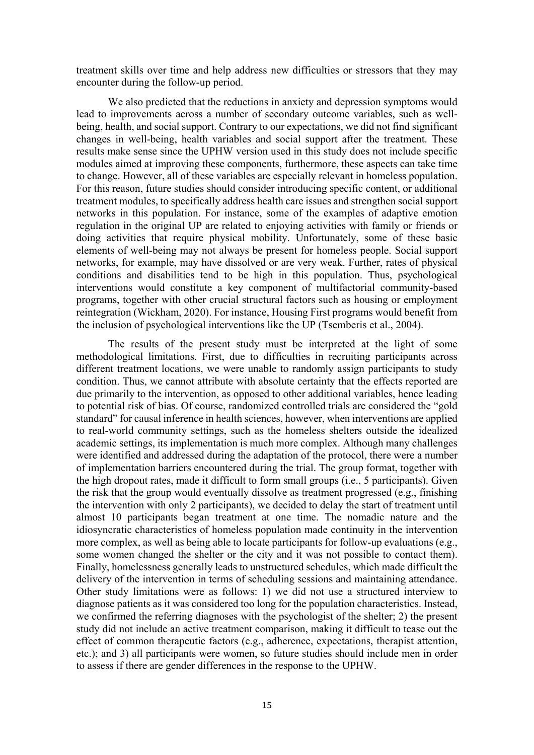treatment skills over time and help address new difficulties or stressors that they may encounter during the follow-up period.

We also predicted that the reductions in anxiety and depression symptoms would lead to improvements across a number of secondary outcome variables, such as wellbeing, health, and social support. Contrary to our expectations, we did not find significant changes in well-being, health variables and social support after the treatment. These results make sense since the UPHW version used in this study does not include specific modules aimed at improving these components, furthermore, these aspects can take time to change. However, all of these variables are especially relevant in homeless population. For this reason, future studies should consider introducing specific content, or additional treatment modules, to specifically address health care issues and strengthen social support networks in this population. For instance, some of the examples of adaptive emotion regulation in the original UP are related to enjoying activities with family or friends or doing activities that require physical mobility. Unfortunately, some of these basic elements of well-being may not always be present for homeless people. Social support networks, for example, may have dissolved or are very weak. Further, rates of physical conditions and disabilities tend to be high in this population. Thus, psychological interventions would constitute a key component of multifactorial community-based programs, together with other crucial structural factors such as housing or employment reintegration (Wickham, 2020). For instance, Housing First programs would benefit from the inclusion of psychological interventions like the UP (Tsemberis et al., 2004).

The results of the present study must be interpreted at the light of some methodological limitations. First, due to difficulties in recruiting participants across different treatment locations, we were unable to randomly assign participants to study condition. Thus, we cannot attribute with absolute certainty that the effects reported are due primarily to the intervention, as opposed to other additional variables, hence leading to potential risk of bias. Of course, randomized controlled trials are considered the "gold standard" for causal inference in health sciences, however, when interventions are applied to real-world community settings, such as the homeless shelters outside the idealized academic settings, its implementation is much more complex. Although many challenges were identified and addressed during the adaptation of the protocol, there were a number of implementation barriers encountered during the trial. The group format, together with the high dropout rates, made it difficult to form small groups (i.e., 5 participants). Given the risk that the group would eventually dissolve as treatment progressed (e.g., finishing the intervention with only 2 participants), we decided to delay the start of treatment until almost 10 participants began treatment at one time. The nomadic nature and the idiosyncratic characteristics of homeless population made continuity in the intervention more complex, as well as being able to locate participants for follow-up evaluations (e.g., some women changed the shelter or the city and it was not possible to contact them). Finally, homelessness generally leads to unstructured schedules, which made difficult the delivery of the intervention in terms of scheduling sessions and maintaining attendance. Other study limitations were as follows: 1) we did not use a structured interview to diagnose patients as it was considered too long for the population characteristics. Instead, we confirmed the referring diagnoses with the psychologist of the shelter; 2) the present study did not include an active treatment comparison, making it difficult to tease out the effect of common therapeutic factors (e.g., adherence, expectations, therapist attention, etc.); and 3) all participants were women, so future studies should include men in order to assess if there are gender differences in the response to the UPHW.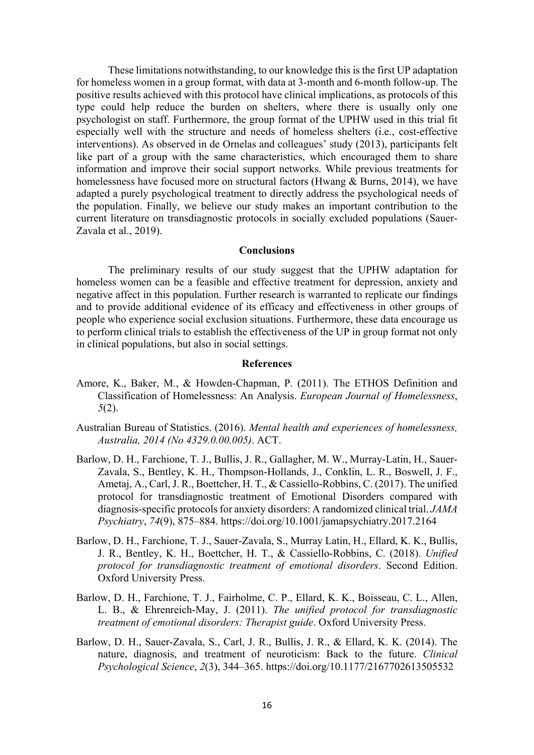These limitations notwithstanding, to our knowledge this is the first UP adaptation for homeless women in a group format, with data at 3-month and 6-month follow-up. The positive results achieved with this protocol have clinical implications, as protocols of this type could help reduce the burden on shelters, where there is usually only one psychologist on staff. Furthermore, the group format of the UPHW used in this trial fit especially well with the structure and needs of homeless shelters (i.e., cost-effective interventions). As observed in de Ornelas and colleagues' study (2013), participants felt like part of a group with the same characteristics, which encouraged them to share information and improve their social support networks. While previous treatments for homelessness have focused more on structural factors (Hwang & Burns, 2014), we have adapted a purely psychological treatment to directly address the psychological needs of the population. Finally, we believe our study makes an important contribution to the current literature on transdiagnostic protocols in socially excluded populations (Sauer-Zavala et al., 2019).

# **Conclusions**

The preliminary results of our study suggest that the UPHW adaptation for homeless women can be a feasible and effective treatment for depression, anxiety and negative affect in this population. Further research is warranted to replicate our findings and to provide additional evidence of its efficacy and effectiveness in other groups of people who experience social exclusion situations. Furthermore, these data encourage us to perform clinical trials to establish the effectiveness of the UP in group format not only in clinical populations, but also in social settings.

# **References**

- Amore, K., Baker, M., & Howden-Chapman, P. (2011). The ETHOS Definition and Classification of Homelessness: An Analysis. *European Journal of Homelessness*, *5*(2).
- Australian Bureau of Statistics. (2016). *Mental health and experiences of homelessness, Australia, 2014 (No 4329.0.00.005)*. ACT.
- Barlow, D. H., Farchione, T. J., Bullis, J. R., Gallagher, M. W., Murray-Latin, H., Sauer-Zavala, S., Bentley, K. H., Thompson-Hollands, J., Conklin, L. R., Boswell, J. F., Ametaj, A., Carl, J. R., Boettcher, H. T., & Cassiello-Robbins, C. (2017). The unified protocol for transdiagnostic treatment of Emotional Disorders compared with diagnosis-specific protocols for anxiety disorders: A randomized clinical trial. *JAMA Psychiatry*, *74*(9), 875–884. https://doi.org/10.1001/jamapsychiatry.2017.2164
- Barlow, D. H., Farchione, T. J., Sauer-Zavala, S., Murray Latin, H., Ellard, K. K., Bullis, J. R., Bentley, K. H., Boettcher, H. T., & Cassiello-Robbins, C. (2018). *Unified protocol for transdiagnostic treatment of emotional disorders*. Second Edition. Oxford University Press.
- Barlow, D. H., Farchione, T. J., Fairholme, C. P., Ellard, K. K., Boisseau, C. L., Allen, L. B., & Ehrenreich-May, J. (2011). *The unified protocol for transdiagnostic treatment of emotional disorders: Therapist guide*. Oxford University Press.
- Barlow, D. H., Sauer-Zavala, S., Carl, J. R., Bullis, J. R., & Ellard, K. K. (2014). The nature, diagnosis, and treatment of neuroticism: Back to the future. *Clinical Psychological Science*, *2*(3), 344–365. https://doi.org/10.1177/2167702613505532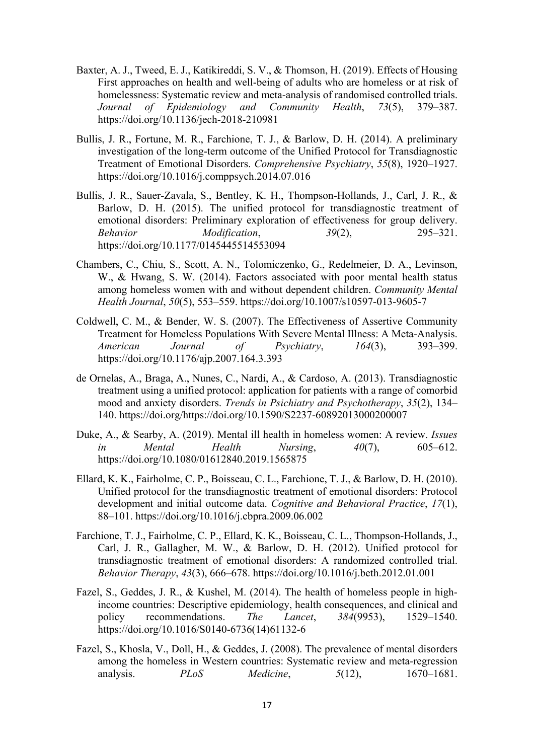- Baxter, A. J., Tweed, E. J., Katikireddi, S. V., & Thomson, H. (2019). Effects of Housing First approaches on health and well-being of adults who are homeless or at risk of homelessness: Systematic review and meta-analysis of randomised controlled trials. *Journal of Epidemiology and Community Health*, *73*(5), 379–387. https://doi.org/10.1136/jech-2018-210981
- Bullis, J. R., Fortune, M. R., Farchione, T. J., & Barlow, D. H. (2014). A preliminary investigation of the long-term outcome of the Unified Protocol for Transdiagnostic Treatment of Emotional Disorders. *Comprehensive Psychiatry*, *55*(8), 1920–1927. https://doi.org/10.1016/j.comppsych.2014.07.016
- Bullis, J. R., Sauer-Zavala, S., Bentley, K. H., Thompson-Hollands, J., Carl, J. R., & Barlow, D. H. (2015). The unified protocol for transdiagnostic treatment of emotional disorders: Preliminary exploration of effectiveness for group delivery. *Behavior Modification*, *39*(2), 295–321. https://doi.org/10.1177/0145445514553094
- Chambers, C., Chiu, S., Scott, A. N., Tolomiczenko, G., Redelmeier, D. A., Levinson, W., & Hwang, S. W. (2014). Factors associated with poor mental health status among homeless women with and without dependent children. *Community Mental Health Journal*, *50*(5), 553–559. https://doi.org/10.1007/s10597-013-9605-7
- Coldwell, C. M., & Bender, W. S. (2007). The Effectiveness of Assertive Community Treatment for Homeless Populations With Severe Mental Illness: A Meta-Analysis. *American Journal of Psychiatry*, *164*(3), 393–399. https://doi.org/10.1176/ajp.2007.164.3.393
- de Ornelas, A., Braga, A., Nunes, C., Nardi, A., & Cardoso, A. (2013). Transdiagnostic treatment using a unified protocol: application for patients with a range of comorbid mood and anxiety disorders. *Trends in Psichiatry and Psychotherapy*, *35*(2), 134– 140. https://doi.org/https://doi.org/10.1590/S2237-60892013000200007
- Duke, A., & Searby, A. (2019). Mental ill health in homeless women: A review. *Issues in Mental Health Nursing*, *40*(7), 605–612. https://doi.org/10.1080/01612840.2019.1565875
- Ellard, K. K., Fairholme, C. P., Boisseau, C. L., Farchione, T. J., & Barlow, D. H. (2010). Unified protocol for the transdiagnostic treatment of emotional disorders: Protocol development and initial outcome data. *Cognitive and Behavioral Practice*, *17*(1), 88–101. https://doi.org/10.1016/j.cbpra.2009.06.002
- Farchione, T. J., Fairholme, C. P., Ellard, K. K., Boisseau, C. L., Thompson-Hollands, J., Carl, J. R., Gallagher, M. W., & Barlow, D. H. (2012). Unified protocol for transdiagnostic treatment of emotional disorders: A randomized controlled trial. *Behavior Therapy*, *43*(3), 666–678. https://doi.org/10.1016/j.beth.2012.01.001
- Fazel, S., Geddes, J. R., & Kushel, M. (2014). The health of homeless people in highincome countries: Descriptive epidemiology, health consequences, and clinical and policy recommendations. *The Lancet*, *384*(9953), 1529–1540. https://doi.org/10.1016/S0140-6736(14)61132-6
- Fazel, S., Khosla, V., Doll, H., & Geddes, J. (2008). The prevalence of mental disorders among the homeless in Western countries: Systematic review and meta-regression analysis. *PLoS Medicine*, *5*(12), 1670–1681.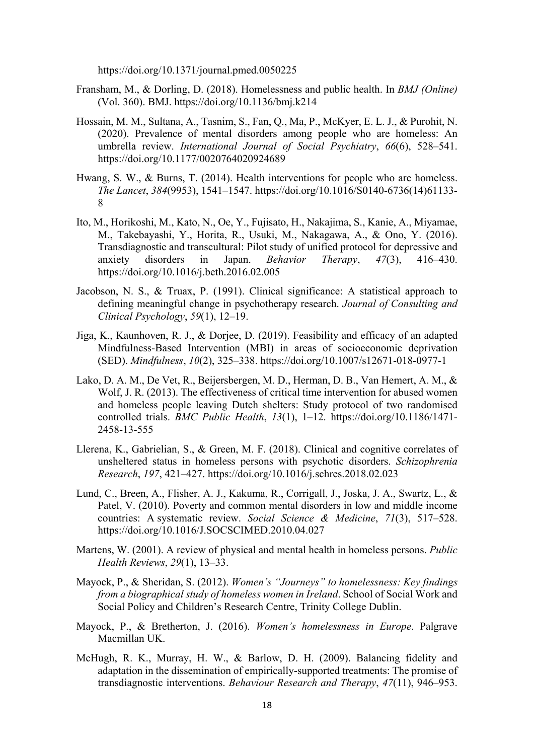https://doi.org/10.1371/journal.pmed.0050225

- Fransham, M., & Dorling, D. (2018). Homelessness and public health. In *BMJ (Online)* (Vol. 360). BMJ. https://doi.org/10.1136/bmj.k214
- Hossain, M. M., Sultana, A., Tasnim, S., Fan, Q., Ma, P., McKyer, E. L. J., & Purohit, N. (2020). Prevalence of mental disorders among people who are homeless: An umbrella review. *International Journal of Social Psychiatry*, *66*(6), 528–541. https://doi.org/10.1177/0020764020924689
- Hwang, S. W., & Burns, T. (2014). Health interventions for people who are homeless. *The Lancet*, *384*(9953), 1541–1547. https://doi.org/10.1016/S0140-6736(14)61133- 8
- Ito, M., Horikoshi, M., Kato, N., Oe, Y., Fujisato, H., Nakajima, S., Kanie, A., Miyamae, M., Takebayashi, Y., Horita, R., Usuki, M., Nakagawa, A., & Ono, Y. (2016). Transdiagnostic and transcultural: Pilot study of unified protocol for depressive and anxiety disorders in Japan. *Behavior Therapy*, *47*(3), 416–430. https://doi.org/10.1016/j.beth.2016.02.005
- Jacobson, N. S., & Truax, P. (1991). Clinical significance: A statistical approach to defining meaningful change in psychotherapy research. *Journal of Consulting and Clinical Psychology*, *59*(1), 12–19.
- Jiga, K., Kaunhoven, R. J., & Dorjee, D. (2019). Feasibility and efficacy of an adapted Mindfulness-Based Intervention (MBI) in areas of socioeconomic deprivation (SED). *Mindfulness*, *10*(2), 325–338. https://doi.org/10.1007/s12671-018-0977-1
- Lako, D. A. M., De Vet, R., Beijersbergen, M. D., Herman, D. B., Van Hemert, A. M., & Wolf, J. R. (2013). The effectiveness of critical time intervention for abused women and homeless people leaving Dutch shelters: Study protocol of two randomised controlled trials. *BMC Public Health*, *13*(1), 1–12. https://doi.org/10.1186/1471- 2458-13-555
- Llerena, K., Gabrielian, S., & Green, M. F. (2018). Clinical and cognitive correlates of unsheltered status in homeless persons with psychotic disorders. *Schizophrenia Research*, *197*, 421–427. https://doi.org/10.1016/j.schres.2018.02.023
- Lund, C., Breen, A., Flisher, A. J., Kakuma, R., Corrigall, J., Joska, J. A., Swartz, L., & Patel, V. (2010). Poverty and common mental disorders in low and middle income countries: A systematic review. *Social Science & Medicine*, *71*(3), 517–528. https://doi.org/10.1016/J.SOCSCIMED.2010.04.027
- Martens, W. (2001). A review of physical and mental health in homeless persons. *Public Health Reviews*, *29*(1), 13–33.
- Mayock, P., & Sheridan, S. (2012). *Women's "Journeys" to homelessness: Key findings from a biographical study of homeless women in Ireland*. School of Social Work and Social Policy and Children's Research Centre, Trinity College Dublin.
- Mayock, P., & Bretherton, J. (2016). *Women's homelessness in Europe*. Palgrave Macmillan UK.
- McHugh, R. K., Murray, H. W., & Barlow, D. H. (2009). Balancing fidelity and adaptation in the dissemination of empirically-supported treatments: The promise of transdiagnostic interventions. *Behaviour Research and Therapy*, *47*(11), 946–953.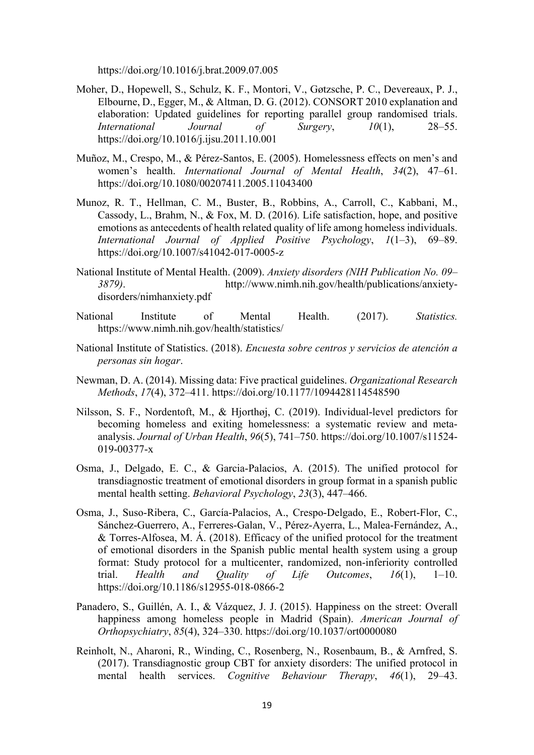https://doi.org/10.1016/j.brat.2009.07.005

- Moher, D., Hopewell, S., Schulz, K. F., Montori, V., Gøtzsche, P. C., Devereaux, P. J., Elbourne, D., Egger, M., & Altman, D. G. (2012). CONSORT 2010 explanation and elaboration: Updated guidelines for reporting parallel group randomised trials. *International Journal of Surgery*, *10*(1), 28–55. https://doi.org/10.1016/j.ijsu.2011.10.001
- Muñoz, M., Crespo, M., & Pérez-Santos, E. (2005). Homelessness effects on men's and women's health. *International Journal of Mental Health*, *34*(2), 47–61. https://doi.org/10.1080/00207411.2005.11043400
- Munoz, R. T., Hellman, C. M., Buster, B., Robbins, A., Carroll, C., Kabbani, M., Cassody, L., Brahm, N., & Fox, M. D. (2016). Life satisfaction, hope, and positive emotions as antecedents of health related quality of life among homeless individuals. *International Journal of Applied Positive Psychology*, *1*(1–3), 69–89. https://doi.org/10.1007/s41042-017-0005-z
- National Institute of Mental Health. (2009). *Anxiety disorders (NIH Publication No. 09– 3879)*. http://www.nimh.nih.gov/health/publications/anxietydisorders/nimhanxiety.pdf
- National Institute of Mental Health. (2017). *Statistics.* https://www.nimh.nih.gov/health/statistics/
- National Institute of Statistics. (2018). *Encuesta sobre centros y servicios de atención a personas sin hogar*.
- Newman, D. A. (2014). Missing data: Five practical guidelines. *Organizational Research Methods*, *17*(4), 372–411. https://doi.org/10.1177/1094428114548590
- Nilsson, S. F., Nordentoft, M., & Hjorthøj, C. (2019). Individual-level predictors for becoming homeless and exiting homelessness: a systematic review and metaanalysis. *Journal of Urban Health*, *96*(5), 741–750. https://doi.org/10.1007/s11524- 019-00377-x
- Osma, J., Delgado, E. C., & Garcia-Palacios, A. (2015). The unified protocol for transdiagnostic treatment of emotional disorders in group format in a spanish public mental health setting. *Behavioral Psychology*, *23*(3), 447–466.
- Osma, J., Suso-Ribera, C., García-Palacios, A., Crespo-Delgado, E., Robert-Flor, C., Sánchez-Guerrero, A., Ferreres-Galan, V., Pérez-Ayerra, L., Malea-Fernández, A., & Torres-Alfosea, M. Á. (2018). Efficacy of the unified protocol for the treatment of emotional disorders in the Spanish public mental health system using a group format: Study protocol for a multicenter, randomized, non-inferiority controlled trial. *Health and Quality of Life Outcomes*, *16*(1), 1–10. https://doi.org/10.1186/s12955-018-0866-2
- Panadero, S., Guillén, A. I., & Vázquez, J. J. (2015). Happiness on the street: Overall happiness among homeless people in Madrid (Spain). *American Journal of Orthopsychiatry*, *85*(4), 324–330. https://doi.org/10.1037/ort0000080
- Reinholt, N., Aharoni, R., Winding, C., Rosenberg, N., Rosenbaum, B., & Arnfred, S. (2017). Transdiagnostic group CBT for anxiety disorders: The unified protocol in mental health services. *Cognitive Behaviour Therapy*, *46*(1), 29–43.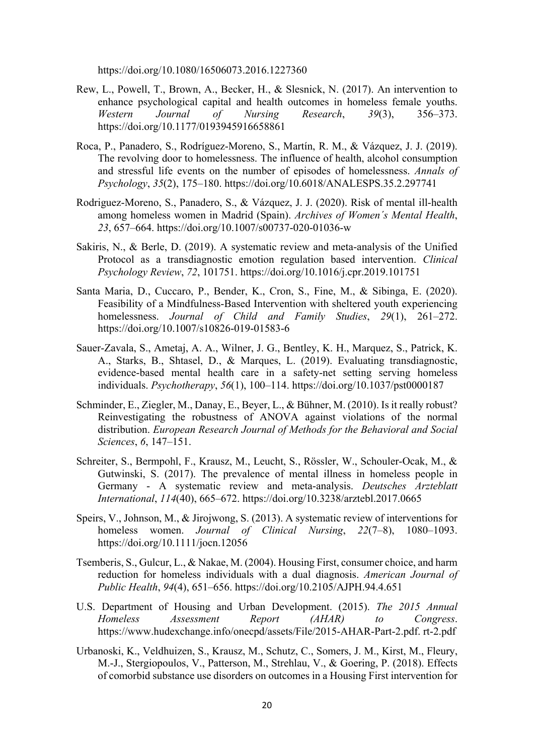https://doi.org/10.1080/16506073.2016.1227360

- Rew, L., Powell, T., Brown, A., Becker, H., & Slesnick, N. (2017). An intervention to enhance psychological capital and health outcomes in homeless female youths. *Western Journal of Nursing Research*, *39*(3), 356–373. https://doi.org/10.1177/0193945916658861
- Roca, P., Panadero, S., Rodríguez-Moreno, S., Martín, R. M., & Vázquez, J. J. (2019). The revolving door to homelessness. The influence of health, alcohol consumption and stressful life events on the number of episodes of homelessness. *Annals of Psychology*, *35*(2), 175–180. https://doi.org/10.6018/ANALESPS.35.2.297741
- Rodriguez-Moreno, S., Panadero, S., & Vázquez, J. J. (2020). Risk of mental ill-health among homeless women in Madrid (Spain). *Archives of Women´s Mental Health*, *23*, 657–664. https://doi.org/10.1007/s00737-020-01036-w
- Sakiris, N., & Berle, D. (2019). A systematic review and meta-analysis of the Unified Protocol as a transdiagnostic emotion regulation based intervention. *Clinical Psychology Review*, *72*, 101751. https://doi.org/10.1016/j.cpr.2019.101751
- Santa Maria, D., Cuccaro, P., Bender, K., Cron, S., Fine, M., & Sibinga, E. (2020). Feasibility of a Mindfulness-Based Intervention with sheltered youth experiencing homelessness. *Journal of Child and Family Studies*, *29*(1), 261–272. https://doi.org/10.1007/s10826-019-01583-6
- Sauer-Zavala, S., Ametaj, A. A., Wilner, J. G., Bentley, K. H., Marquez, S., Patrick, K. A., Starks, B., Shtasel, D., & Marques, L. (2019). Evaluating transdiagnostic, evidence-based mental health care in a safety-net setting serving homeless individuals. *Psychotherapy*, *56*(1), 100–114. https://doi.org/10.1037/pst0000187
- Schminder, E., Ziegler, M., Danay, E., Beyer, L., & Bühner, M. (2010). Is it really robust? Reinvestigating the robustness of ANOVA against violations of the normal distribution. *European Research Journal of Methods for the Behavioral and Social Sciences*, *6*, 147–151.
- Schreiter, S., Bermpohl, F., Krausz, M., Leucht, S., Rössler, W., Schouler-Ocak, M., & Gutwinski, S. (2017). The prevalence of mental illness in homeless people in Germany - A systematic review and meta-analysis. *Deutsches Arzteblatt International*, *114*(40), 665–672. https://doi.org/10.3238/arztebl.2017.0665
- Speirs, V., Johnson, M., & Jirojwong, S. (2013). A systematic review of interventions for homeless women. *Journal of Clinical Nursing*, *22*(7–8), 1080–1093. https://doi.org/10.1111/jocn.12056
- Tsemberis, S., Gulcur, L., & Nakae, M. (2004). Housing First, consumer choice, and harm reduction for homeless individuals with a dual diagnosis. *American Journal of Public Health*, *94*(4), 651–656. https://doi.org/10.2105/AJPH.94.4.651
- U.S. Department of Housing and Urban Development. (2015). *The 2015 Annual Homeless Assessment Report (AHAR) to Congress*. https://www.hudexchange.info/onecpd/assets/File/2015-AHAR-Part-2.pdf. rt-2.pdf
- Urbanoski, K., Veldhuizen, S., Krausz, M., Schutz, C., Somers, J. M., Kirst, M., Fleury, M.-J., Stergiopoulos, V., Patterson, M., Strehlau, V., & Goering, P. (2018). Effects of comorbid substance use disorders on outcomes in a Housing First intervention for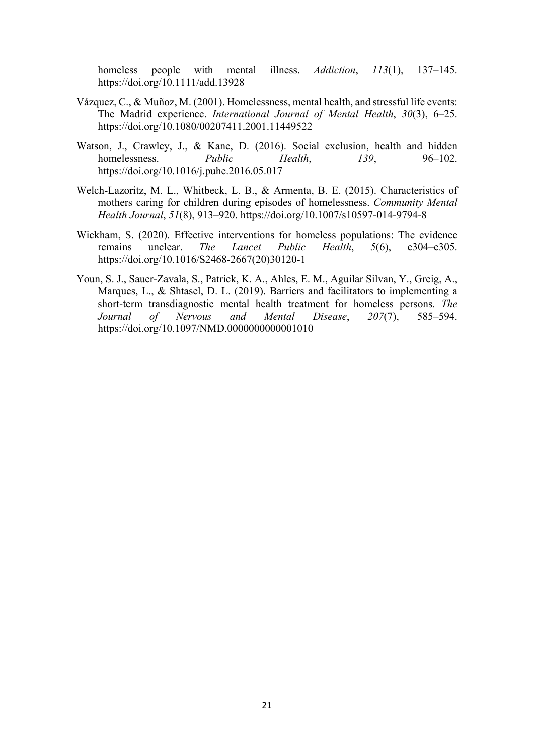homeless people with mental illness. *Addiction*, *113*(1), 137–145. https://doi.org/10.1111/add.13928

- Vázquez, C., & Muñoz, M. (2001). Homelessness, mental health, and stressful life events: The Madrid experience. *International Journal of Mental Health*, *30*(3), 6–25. https://doi.org/10.1080/00207411.2001.11449522
- Watson, J., Crawley, J., & Kane, D. (2016). Social exclusion, health and hidden homelessness. *Public Health*, *139*, 96–102. https://doi.org/10.1016/j.puhe.2016.05.017
- Welch-Lazoritz, M. L., Whitbeck, L. B., & Armenta, B. E. (2015). Characteristics of mothers caring for children during episodes of homelessness. *Community Mental Health Journal*, *51*(8), 913–920. https://doi.org/10.1007/s10597-014-9794-8
- Wickham, S. (2020). Effective interventions for homeless populations: The evidence remains unclear. *The Lancet Public Health*, *5*(6), e304–e305. https://doi.org/10.1016/S2468-2667(20)30120-1
- Youn, S. J., Sauer-Zavala, S., Patrick, K. A., Ahles, E. M., Aguilar Silvan, Y., Greig, A., Marques, L., & Shtasel, D. L. (2019). Barriers and facilitators to implementing a short-term transdiagnostic mental health treatment for homeless persons. *The Journal of Nervous and Mental Disease*, *207*(7), 585–594. https://doi.org/10.1097/NMD.0000000000001010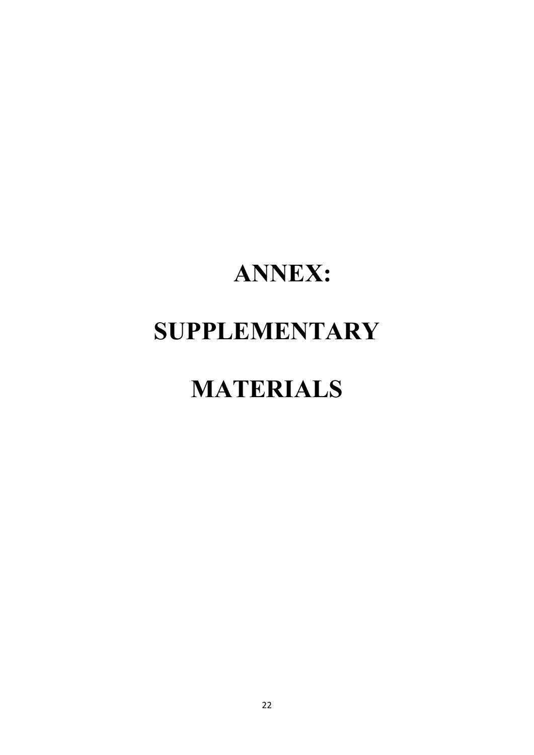# **ANNEX: SUPPLEMENTARY**

# **MATERIALS**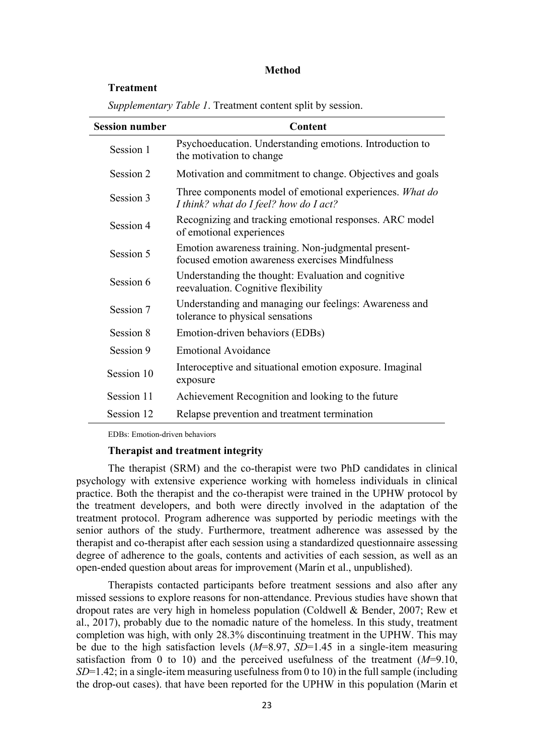## **Method**

# **Treatment**

| <b>Session number</b> | Content                                                                                                |  |  |  |  |  |
|-----------------------|--------------------------------------------------------------------------------------------------------|--|--|--|--|--|
| Session 1             | Psychoeducation. Understanding emotions. Introduction to<br>the motivation to change                   |  |  |  |  |  |
| Session 2             | Motivation and commitment to change. Objectives and goals                                              |  |  |  |  |  |
| Session 3             | Three components model of emotional experiences. What do<br>I think? what do I feel? how do I act?     |  |  |  |  |  |
| Session 4             | Recognizing and tracking emotional responses. ARC model<br>of emotional experiences                    |  |  |  |  |  |
| Session 5             | Emotion awareness training. Non-judgmental present-<br>focused emotion awareness exercises Mindfulness |  |  |  |  |  |
| Session 6             | Understanding the thought: Evaluation and cognitive<br>reevaluation. Cognitive flexibility             |  |  |  |  |  |
| Session 7             | Understanding and managing our feelings: Awareness and<br>tolerance to physical sensations             |  |  |  |  |  |
| Session 8             | Emotion-driven behaviors (EDBs)                                                                        |  |  |  |  |  |
| Session 9             | <b>Emotional Avoidance</b>                                                                             |  |  |  |  |  |
| Session 10            | Interoceptive and situational emotion exposure. Imaginal<br>exposure                                   |  |  |  |  |  |
| Session 11            | Achievement Recognition and looking to the future                                                      |  |  |  |  |  |
| Session 12            | Relapse prevention and treatment termination                                                           |  |  |  |  |  |

*Supplementary Table 1*. Treatment content split by session.

EDBs: Emotion-driven behaviors

# **Therapist and treatment integrity**

The therapist (SRM) and the co-therapist were two PhD candidates in clinical psychology with extensive experience working with homeless individuals in clinical practice. Both the therapist and the co-therapist were trained in the UPHW protocol by the treatment developers, and both were directly involved in the adaptation of the treatment protocol. Program adherence was supported by periodic meetings with the senior authors of the study. Furthermore, treatment adherence was assessed by the therapist and co-therapist after each session using a standardized questionnaire assessing degree of adherence to the goals, contents and activities of each session, as well as an open-ended question about areas for improvement (Marín et al., unpublished).

Therapists contacted participants before treatment sessions and also after any missed sessions to explore reasons for non-attendance. Previous studies have shown that dropout rates are very high in homeless population (Coldwell & Bender, 2007; Rew et al., 2017), probably due to the nomadic nature of the homeless. In this study, treatment completion was high, with only 28.3% discontinuing treatment in the UPHW. This may be due to the high satisfaction levels (*M*=8.97, *SD*=1.45 in a single-item measuring satisfaction from 0 to 10) and the perceived usefulness of the treatment  $(M=9.10,$ *SD*=1.42; in a single-item measuring usefulness from 0 to 10) in the full sample (including the drop-out cases). that have been reported for the UPHW in this population (Marin et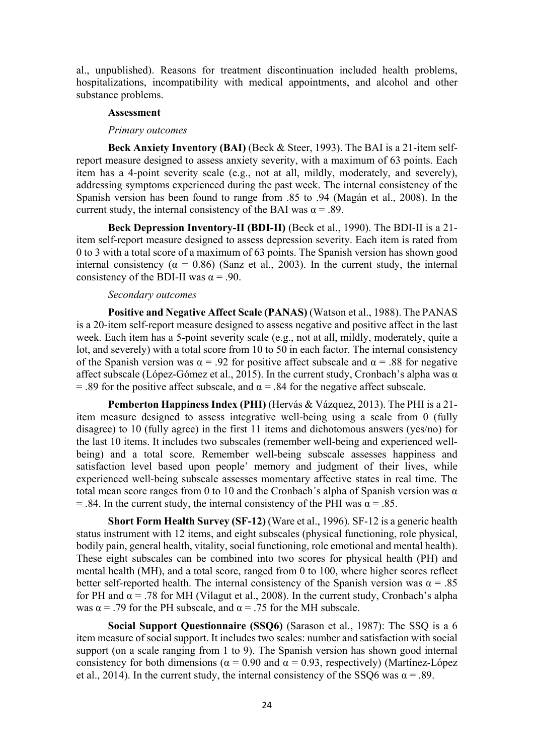al., unpublished). Reasons for treatment discontinuation included health problems, hospitalizations, incompatibility with medical appointments, and alcohol and other substance problems.

# **Assessment**

# *Primary outcomes*

**Beck Anxiety Inventory (BAI)** (Beck & Steer, 1993). The BAI is a 21-item selfreport measure designed to assess anxiety severity, with a maximum of 63 points. Each item has a 4-point severity scale (e.g., not at all, mildly, moderately, and severely), addressing symptoms experienced during the past week. The internal consistency of the Spanish version has been found to range from .85 to .94 (Magán et al., 2008). In the current study, the internal consistency of the BAI was  $\alpha = .89$ .

**Beck Depression Inventory-II (BDI-II)** (Beck et al., 1990). The BDI-II is a 21 item self-report measure designed to assess depression severity. Each item is rated from 0 to 3 with a total score of a maximum of 63 points. The Spanish version has shown good internal consistency ( $\alpha = 0.86$ ) (Sanz et al., 2003). In the current study, the internal consistency of the BDI-II was  $\alpha$  = .90.

# *Secondary outcomes*

**Positive and Negative Affect Scale (PANAS)** (Watson et al., 1988). The PANAS is a 20-item self-report measure designed to assess negative and positive affect in the last week. Each item has a 5-point severity scale (e.g., not at all, mildly, moderately, quite a lot, and severely) with a total score from 10 to 50 in each factor. The internal consistency of the Spanish version was  $\alpha = .92$  for positive affect subscale and  $\alpha = .88$  for negative affect subscale (López-Gómez et al., 2015). In the current study, Cronbach's alpha was  $\alpha$ = .89 for the positive affect subscale, and  $\alpha$  = .84 for the negative affect subscale.

**Pemberton Happiness Index (PHI)** (Hervás & Vázquez, 2013). The PHI is a 21 item measure designed to assess integrative well-being using a scale from 0 (fully disagree) to 10 (fully agree) in the first 11 items and dichotomous answers (yes/no) for the last 10 items. It includes two subscales (remember well-being and experienced wellbeing) and a total score. Remember well-being subscale assesses happiness and satisfaction level based upon people' memory and judgment of their lives, while experienced well-being subscale assesses momentary affective states in real time. The total mean score ranges from 0 to 10 and the Cronbach's alpha of Spanish version was  $\alpha$ = .84. In the current study, the internal consistency of the PHI was  $\alpha$  = .85.

**Short Form Health Survey (SF-12)** (Ware et al., 1996). SF-12 is a generic health status instrument with 12 items, and eight subscales (physical functioning, role physical, bodily pain, general health, vitality, social functioning, role emotional and mental health). These eight subscales can be combined into two scores for physical health (PH) and mental health (MH), and a total score, ranged from 0 to 100, where higher scores reflect better self-reported health. The internal consistency of the Spanish version was  $\alpha = .85$ for PH and  $\alpha$  = .78 for MH (Vilagut et al., 2008). In the current study, Cronbach's alpha was  $\alpha$  = .79 for the PH subscale, and  $\alpha$  = .75 for the MH subscale.

**Social Support Questionnaire (SSQ6)** (Sarason et al., 1987): The SSQ is a 6 item measure of social support. It includes two scales: number and satisfaction with social support (on a scale ranging from 1 to 9). The Spanish version has shown good internal consistency for both dimensions ( $\alpha = 0.90$  and  $\alpha = 0.93$ , respectively) (Martínez-López et al., 2014). In the current study, the internal consistency of the SSQ6 was  $\alpha$  = .89.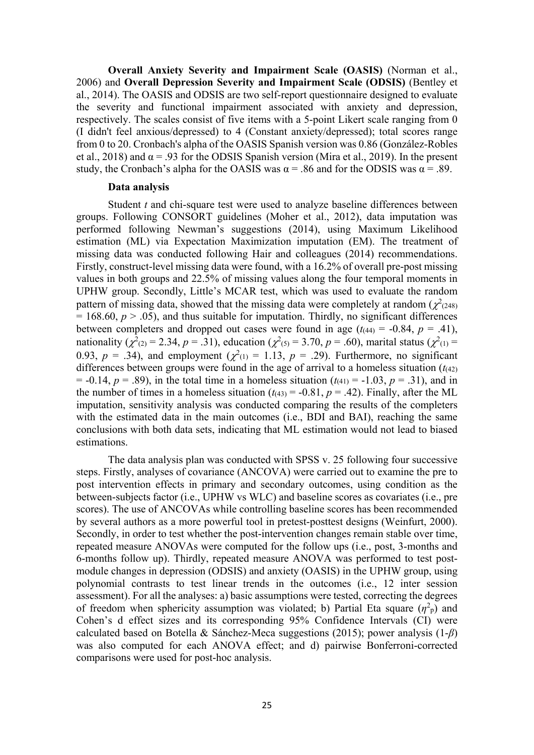**Overall Anxiety Severity and Impairment Scale (OASIS)** (Norman et al., 2006) and **Overall Depression Severity and Impairment Scale (ODSIS)** (Bentley et al., 2014). The OASIS and ODSIS are two self-report questionnaire designed to evaluate the severity and functional impairment associated with anxiety and depression, respectively. The scales consist of five items with a 5-point Likert scale ranging from 0 (I didn't feel anxious/depressed) to 4 (Constant anxiety/depressed); total scores range from 0 to 20. Cronbach's alpha of the OASIS Spanish version was 0.86 (González-Robles et al., 2018) and  $\alpha$  = .93 for the ODSIS Spanish version (Mira et al., 2019). In the present study, the Cronbach's alpha for the OASIS was  $\alpha = .86$  and for the ODSIS was  $\alpha = .89$ .

# **Data analysis**

Student *t* and chi-square test were used to analyze baseline differences between groups. Following CONSORT guidelines (Moher et al., 2012), data imputation was performed following Newman's suggestions (2014), using Maximum Likelihood estimation (ML) via Expectation Maximization imputation (EM). The treatment of missing data was conducted following Hair and colleagues (2014) recommendations. Firstly, construct-level missing data were found, with a 16.2% of overall pre-post missing values in both groups and 22.5% of missing values along the four temporal moments in UPHW group. Secondly, Little's MCAR test, which was used to evaluate the random pattern of missing data, showed that the missing data were completely at random  $(\chi^2)_{(248)}$  $= 168.60, p > .05$ ), and thus suitable for imputation. Thirdly, no significant differences between completers and dropped out cases were found in age  $(t_{(44)} = -0.84, p = .41)$ , nationality ( $\chi^2_{(2)} = 2.34$ ,  $p = .31$ ), education ( $\chi^2_{(5)} = 3.70$ ,  $p = .60$ ), marital status ( $\chi^2_{(1)} =$ 0.93,  $p = .34$ ), and employment ( $\chi^2(1) = 1.13$ ,  $p = .29$ ). Furthermore, no significant differences between groups were found in the age of arrival to a homeless situation  $(t_{(42)}$  $= -0.14, p = .89$ , in the total time in a homeless situation ( $t_{(41)} = -1.03, p = .31$ ), and in the number of times in a homeless situation  $(t_{(43)} = -0.81, p = .42)$ . Finally, after the ML imputation, sensitivity analysis was conducted comparing the results of the completers with the estimated data in the main outcomes (i.e., BDI and BAI), reaching the same conclusions with both data sets, indicating that ML estimation would not lead to biased estimations.

The data analysis plan was conducted with SPSS v. 25 following four successive steps. Firstly, analyses of covariance (ANCOVA) were carried out to examine the pre to post intervention effects in primary and secondary outcomes, using condition as the between-subjects factor (i.e., UPHW vs WLC) and baseline scores as covariates (i.e., pre scores). The use of ANCOVAs while controlling baseline scores has been recommended by several authors as a more powerful tool in pretest-posttest designs (Weinfurt, 2000). Secondly, in order to test whether the post-intervention changes remain stable over time, repeated measure ANOVAs were computed for the follow ups (i.e., post, 3-months and 6-months follow up). Thirdly, repeated measure ANOVA was performed to test postmodule changes in depression (ODSIS) and anxiety (OASIS) in the UPHW group, using polynomial contrasts to test linear trends in the outcomes (i.e., 12 inter session assessment). For all the analyses: a) basic assumptions were tested, correcting the degrees of freedom when sphericity assumption was violated; b) Partial Eta square  $(\eta^2$ <sub>p</sub>) and Cohen's d effect sizes and its corresponding 95% Confidence Intervals (CI) were calculated based on Botella & Sánchez-Meca suggestions (2015); power analysis (1-*β*) was also computed for each ANOVA effect; and d) pairwise Bonferroni-corrected comparisons were used for post-hoc analysis.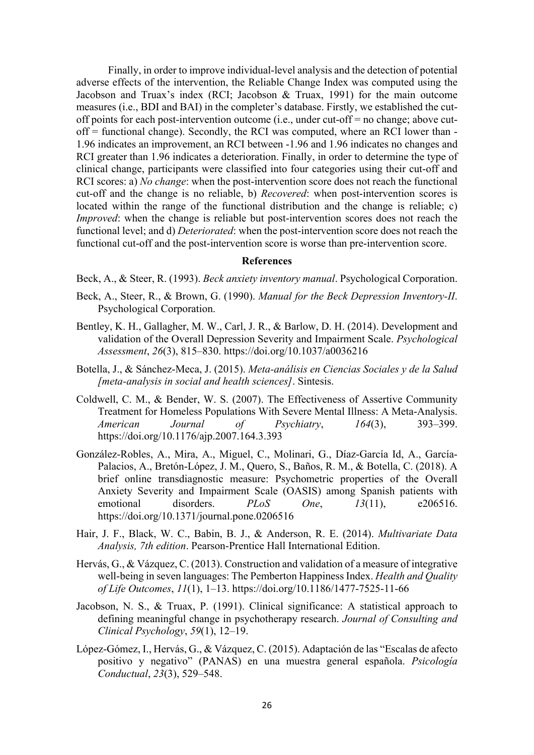Finally, in order to improve individual-level analysis and the detection of potential adverse effects of the intervention, the Reliable Change Index was computed using the Jacobson and Truax's index (RCI; Jacobson & Truax, 1991) for the main outcome measures (i.e., BDI and BAI) in the completer's database. Firstly, we established the cutoff points for each post-intervention outcome (i.e., under cut-off = no change; above cutoff = functional change). Secondly, the RCI was computed, where an RCI lower than - 1.96 indicates an improvement, an RCI between -1.96 and 1.96 indicates no changes and RCI greater than 1.96 indicates a deterioration. Finally, in order to determine the type of clinical change, participants were classified into four categories using their cut-off and RCI scores: a) *No change*: when the post-intervention score does not reach the functional cut-off and the change is no reliable, b) *Recovered*: when post-intervention scores is located within the range of the functional distribution and the change is reliable; c) *Improved*: when the change is reliable but post-intervention scores does not reach the functional level; and d) *Deteriorated*: when the post-intervention score does not reach the functional cut-off and the post-intervention score is worse than pre-intervention score.

# **References**

Beck, A., & Steer, R. (1993). *Beck anxiety inventory manual*. Psychological Corporation.

- Beck, A., Steer, R., & Brown, G. (1990). *Manual for the Beck Depression Inventory-II*. Psychological Corporation.
- Bentley, K. H., Gallagher, M. W., Carl, J. R., & Barlow, D. H. (2014). Development and validation of the Overall Depression Severity and Impairment Scale. *Psychological Assessment*, *26*(3), 815–830. https://doi.org/10.1037/a0036216
- Botella, J., & Sánchez-Meca, J. (2015). *Meta-análisis en Ciencias Sociales y de la Salud [meta-analysis in social and health sciences]*. Sintesis.
- Coldwell, C. M., & Bender, W. S. (2007). The Effectiveness of Assertive Community Treatment for Homeless Populations With Severe Mental Illness: A Meta-Analysis. *American Journal of Psychiatry*, *164*(3), 393–399. https://doi.org/10.1176/ajp.2007.164.3.393
- González-Robles, A., Mira, A., Miguel, C., Molinari, G., Díaz-García Id, A., García-Palacios, A., Bretón-López, J. M., Quero, S., Baños, R. M., & Botella, C. (2018). A brief online transdiagnostic measure: Psychometric properties of the Overall Anxiety Severity and Impairment Scale (OASIS) among Spanish patients with emotional disorders. *PLoS One*, *13*(11), e206516. https://doi.org/10.1371/journal.pone.0206516
- Hair, J. F., Black, W. C., Babin, B. J., & Anderson, R. E. (2014). *Multivariate Data Analysis, 7th edition*. Pearson-Prentice Hall International Edition.
- Hervás, G., & Vázquez, C. (2013). Construction and validation of a measure of integrative well-being in seven languages: The Pemberton Happiness Index. *Health and Quality of Life Outcomes*, *11*(1), 1–13. https://doi.org/10.1186/1477-7525-11-66
- Jacobson, N. S., & Truax, P. (1991). Clinical significance: A statistical approach to defining meaningful change in psychotherapy research. *Journal of Consulting and Clinical Psychology*, *59*(1), 12–19.
- López-Gómez, I., Hervás, G., & Vázquez, C. (2015). Adaptación de las "Escalas de afecto positivo y negativo" (PANAS) en una muestra general española. *Psicología Conductual*, *23*(3), 529–548.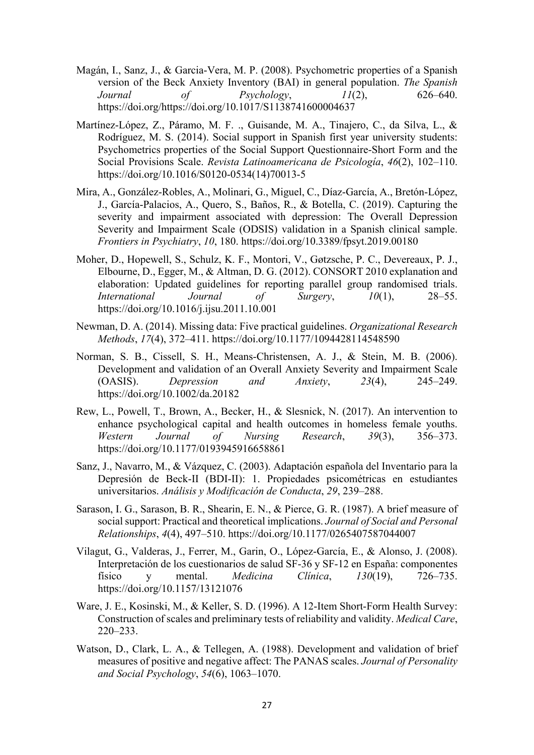- Magán, I., Sanz, J., & Garcia-Vera, M. P. (2008). Psychometric properties of a Spanish version of the Beck Anxiety Inventory (BAI) in general population. *The Spanish Journal of Psychology*, *11*(2), 626–640. https://doi.org/https://doi.org/10.1017/S1138741600004637
- Martínez-López, Z., Páramo, M. F. ., Guisande, M. A., Tinajero, C., da Silva, L., & Rodríguez, M. S. (2014). Social support in Spanish first year university students: Psychometrics properties of the Social Support Questionnaire-Short Form and the Social Provisions Scale. *Revista Latinoamericana de Psicología*, *46*(2), 102–110. https://doi.org/10.1016/S0120-0534(14)70013-5
- Mira, A., González-Robles, A., Molinari, G., Miguel, C., Díaz-García, A., Bretón-López, J., García-Palacios, A., Quero, S., Baños, R., & Botella, C. (2019). Capturing the severity and impairment associated with depression: The Overall Depression Severity and Impairment Scale (ODSIS) validation in a Spanish clinical sample. *Frontiers in Psychiatry*, *10*, 180. https://doi.org/10.3389/fpsyt.2019.00180
- Moher, D., Hopewell, S., Schulz, K. F., Montori, V., Gøtzsche, P. C., Devereaux, P. J., Elbourne, D., Egger, M., & Altman, D. G. (2012). CONSORT 2010 explanation and elaboration: Updated guidelines for reporting parallel group randomised trials. *International Journal of Surgery*, *10*(1), 28–55. https://doi.org/10.1016/j.ijsu.2011.10.001
- Newman, D. A. (2014). Missing data: Five practical guidelines. *Organizational Research Methods*, *17*(4), 372–411. https://doi.org/10.1177/1094428114548590
- Norman, S. B., Cissell, S. H., Means-Christensen, A. J., & Stein, M. B. (2006). Development and validation of an Overall Anxiety Severity and Impairment Scale (OASIS). *Depression and Anxiety*, *23*(4), 245–249. https://doi.org/10.1002/da.20182
- Rew, L., Powell, T., Brown, A., Becker, H., & Slesnick, N. (2017). An intervention to enhance psychological capital and health outcomes in homeless female youths. *Western Journal of Nursing Research*, *39*(3), 356–373. https://doi.org/10.1177/0193945916658861
- Sanz, J., Navarro, M., & Vázquez, C. (2003). Adaptación española del Inventario para la Depresión de Beck-II (BDI-II): 1. Propiedades psicométricas en estudiantes universitarios. *Análisis y Modificación de Conducta*, *29*, 239–288.
- Sarason, I. G., Sarason, B. R., Shearin, E. N., & Pierce, G. R. (1987). A brief measure of social support: Practical and theoretical implications. *Journal of Social and Personal Relationships*, *4*(4), 497–510. https://doi.org/10.1177/0265407587044007
- Vilagut, G., Valderas, J., Ferrer, M., Garin, O., López-García, E., & Alonso, J. (2008). Interpretación de los cuestionarios de salud SF-36 y SF-12 en España: componentes físico y mental. *Medicina Clínica*, *130*(19), 726–735. https://doi.org/10.1157/13121076
- Ware, J. E., Kosinski, M., & Keller, S. D. (1996). A 12-Item Short-Form Health Survey: Construction of scales and preliminary tests of reliability and validity. *Medical Care*, 220–233.
- Watson, D., Clark, L. A., & Tellegen, A. (1988). Development and validation of brief measures of positive and negative affect: The PANAS scales. *Journal of Personality and Social Psychology*, *54*(6), 1063–1070.